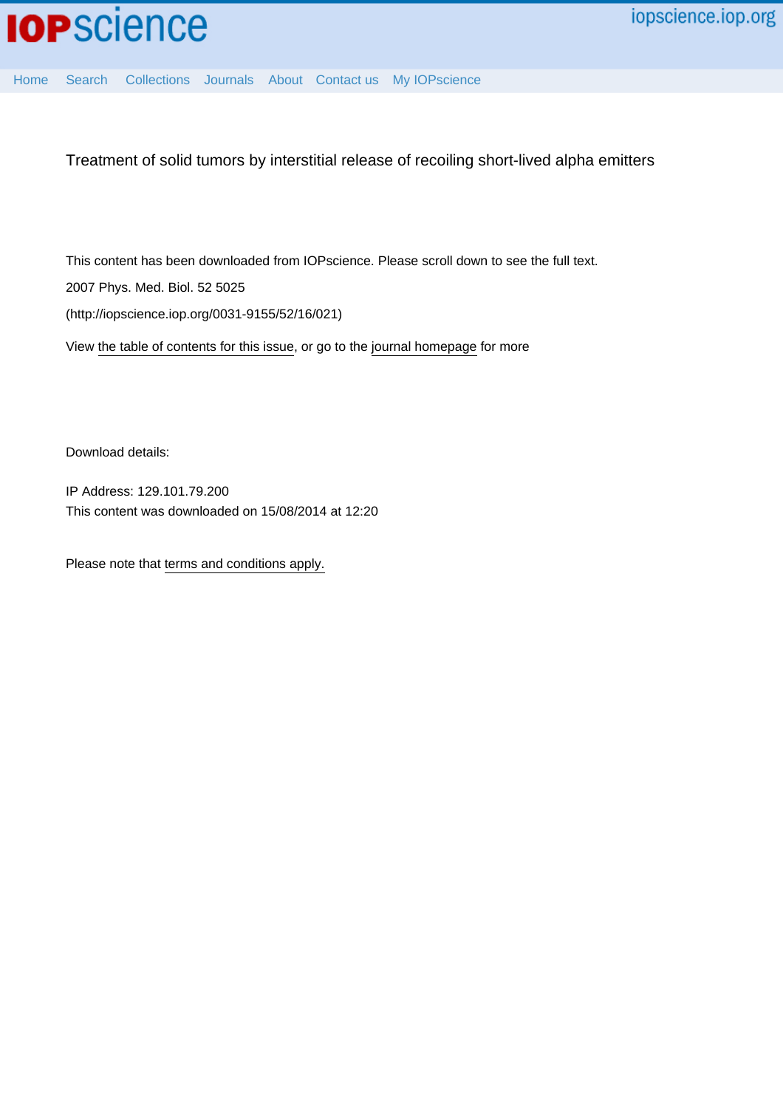

[Home](http://iopscience.iop.org/) [Search](http://iopscience.iop.org/search) [Collections](http://iopscience.iop.org/collections) [Journals](http://iopscience.iop.org/journals) [About](http://iopscience.iop.org/page/aboutioppublishing) [Contact us](http://iopscience.iop.org/contact) [My IOPscience](http://iopscience.iop.org/myiopscience)

Treatment of solid tumors by interstitial release of recoiling short-lived alpha emitters

This content has been downloaded from IOPscience. Please scroll down to see the full text. 2007 Phys. Med. Biol. 52 5025 (http://iopscience.iop.org/0031-9155/52/16/021)

View [the table of contents for this issue](http://iopscience.iop.org/0031-9155/52/16), or go to the [journal homepage](http://iopscience.iop.org/0031-9155) for more

Download details:

IP Address: 129.101.79.200 This content was downloaded on 15/08/2014 at 12:20

Please note that [terms and conditions apply.](iopscience.iop.org/page/terms)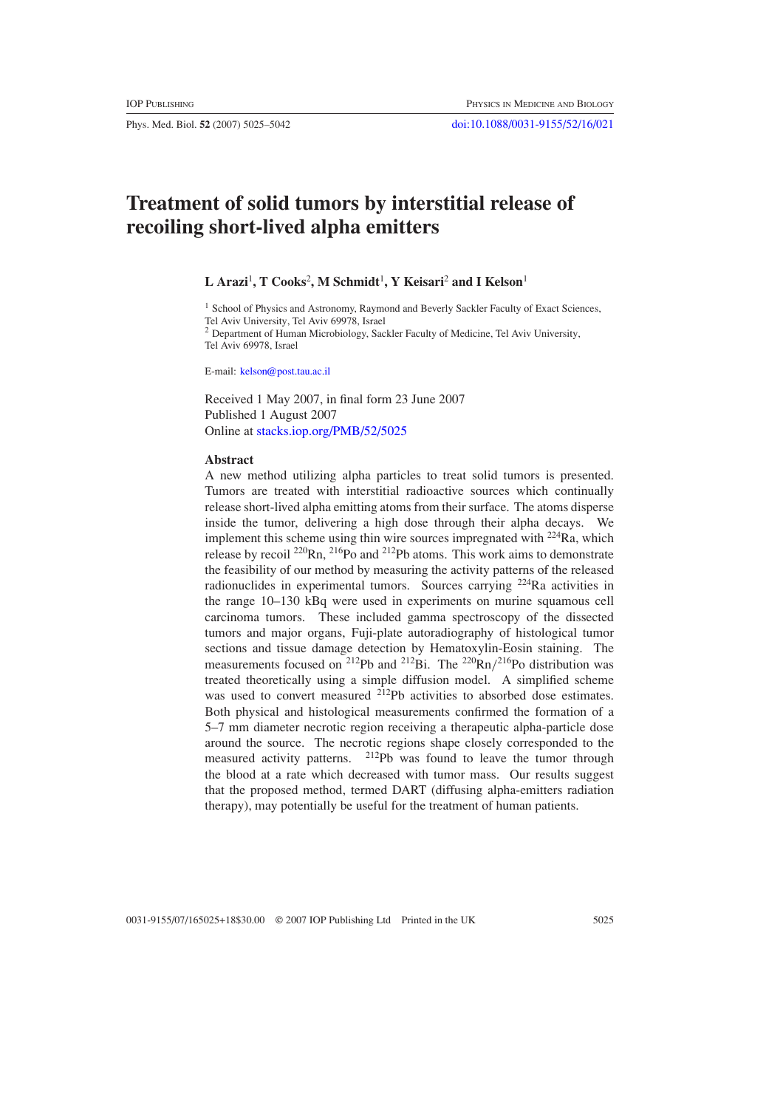# **Treatment of solid tumors by interstitial release of recoiling short-lived alpha emitters**

### $\mathbf{L}$  Arazi<sup>1</sup>, T Cooks<sup>2</sup>, M Schmidt<sup>1</sup>, Y Keisari<sup>2</sup> and I Kelson<sup>1</sup>

<sup>1</sup> School of Physics and Astronomy, Raymond and Beverly Sackler Faculty of Exact Sciences, Tel Aviv University, Tel Aviv 69978, Israel

<sup>2</sup> Department of Human Microbiology, Sackler Faculty of Medicine, Tel Aviv University, Tel Aviv 69978, Israel

E-mail: [kelson@post.tau.ac.il](mailto:kelson@post.tau.ac.il)

Received 1 May 2007, in final form 23 June 2007 Published 1 August 2007 Online at [stacks.iop.org/PMB/52/5025](http://stacks.iop.org/PMB/52/5025)

#### **Abstract**

A new method utilizing alpha particles to treat solid tumors is presented. Tumors are treated with interstitial radioactive sources which continually release short-lived alpha emitting atoms from their surface. The atoms disperse inside the tumor, delivering a high dose through their alpha decays. We implement this scheme using thin wire sources impregnated with 224Ra, which release by recoil  $^{220}$ Rn,  $^{216}$ Po and  $^{212}$ Pb atoms. This work aims to demonstrate the feasibility of our method by measuring the activity patterns of the released radionuclides in experimental tumors. Sources carrying <sup>224</sup>Ra activities in the range 10–130 kBq were used in experiments on murine squamous cell carcinoma tumors. These included gamma spectroscopy of the dissected tumors and major organs, Fuji-plate autoradiography of histological tumor sections and tissue damage detection by Hematoxylin-Eosin staining. The measurements focused on <sup>212</sup>Pb and <sup>212</sup>Bi. The <sup>220</sup>Rn/<sup>216</sup>Po distribution was treated theoretically using a simple diffusion model. A simplified scheme was used to convert measured <sup>212</sup>Pb activities to absorbed dose estimates. Both physical and histological measurements confirmed the formation of a 5–7 mm diameter necrotic region receiving a therapeutic alpha-particle dose around the source. The necrotic regions shape closely corresponded to the measured activity patterns. 212Pb was found to leave the tumor through the blood at a rate which decreased with tumor mass. Our results suggest that the proposed method, termed DART (diffusing alpha-emitters radiation therapy), may potentially be useful for the treatment of human patients.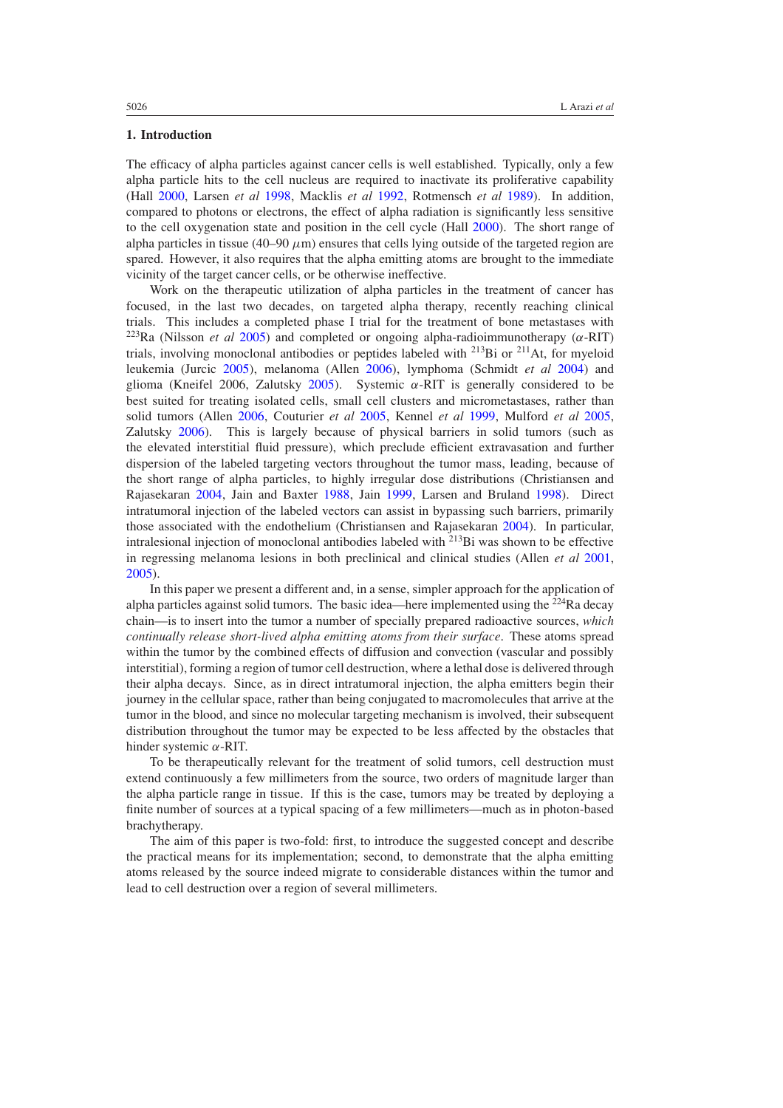### **1. Introduction**

The efficacy of alpha particles against cancer cells is well established. Typically, only a few alpha particle hits to the cell nucleus are required to inactivate its proliferative capability (Hall [2000](#page-17-0), Larsen *et al* [1998](#page-17-0), Macklis *et al* [1992,](#page-17-0) Rotmensch *et al* [1989](#page-18-0)). In addition, compared to photons or electrons, the effect of alpha radiation is significantly less sensitive to the cell oxygenation state and position in the cell cycle (Hall [2000](#page-17-0)). The short range of alpha particles in tissue (40–90  $\mu$ m) ensures that cells lying outside of the targeted region are spared. However, it also requires that the alpha emitting atoms are brought to the immediate vicinity of the target cancer cells, or be otherwise ineffective.

Work on the therapeutic utilization of alpha particles in the treatment of cancer has focused, in the last two decades, on targeted alpha therapy, recently reaching clinical trials. This includes a completed phase I trial for the treatment of bone metastases with 223Ra (Nilsson *et al* [2005](#page-17-0)) and completed or ongoing alpha-radioimmunotherapy (*α*-RIT) trials, involving monoclonal antibodies or peptides labeled with <sup>213</sup>Bi or <sup>211</sup>At, for myeloid leukemia (Jurcic [2005\)](#page-17-0), melanoma (Allen [2006](#page-17-0)), lymphoma (Schmidt *et al* [2004\)](#page-18-0) and glioma (Kneifel 2006, Zalutsky [2005](#page-18-0)). Systemic *α*-RIT is generally considered to be best suited for treating isolated cells, small cell clusters and micrometastases, rather than solid tumors (Allen [2006,](#page-17-0) Couturier *et al* [2005](#page-17-0), Kennel *et al* [1999](#page-17-0), Mulford *et al* [2005](#page-17-0), Zalutsky [2006\)](#page-18-0). This is largely because of physical barriers in solid tumors (such as the elevated interstitial fluid pressure), which preclude efficient extravasation and further dispersion of the labeled targeting vectors throughout the tumor mass, leading, because of the short range of alpha particles, to highly irregular dose distributions (Christiansen and Rajasekaran [2004,](#page-17-0) Jain and Baxter [1988,](#page-17-0) Jain [1999](#page-17-0), Larsen and Bruland [1998\)](#page-17-0). Direct intratumoral injection of the labeled vectors can assist in bypassing such barriers, primarily those associated with the endothelium (Christiansen and Rajasekaran [2004\)](#page-17-0). In particular, intralesional injection of monoclonal antibodies labeled with  $^{213}$ Bi was shown to be effective in regressing melanoma lesions in both preclinical and clinical studies (Allen *et al* [2001](#page-17-0), [2005\)](#page-17-0).

In this paper we present a different and, in a sense, simpler approach for the application of alpha particles against solid tumors. The basic idea—here implemented using the  $^{224}$ Ra decay chain—is to insert into the tumor a number of specially prepared radioactive sources, *which continually release short-lived alpha emitting atoms from their surface*. These atoms spread within the tumor by the combined effects of diffusion and convection (vascular and possibly interstitial), forming a region of tumor cell destruction, where a lethal dose is delivered through their alpha decays. Since, as in direct intratumoral injection, the alpha emitters begin their journey in the cellular space, rather than being conjugated to macromolecules that arrive at the tumor in the blood, and since no molecular targeting mechanism is involved, their subsequent distribution throughout the tumor may be expected to be less affected by the obstacles that hinder systemic *α*-RIT.

To be therapeutically relevant for the treatment of solid tumors, cell destruction must extend continuously a few millimeters from the source, two orders of magnitude larger than the alpha particle range in tissue. If this is the case, tumors may be treated by deploying a finite number of sources at a typical spacing of a few millimeters—much as in photon-based brachytherapy.

The aim of this paper is two-fold: first, to introduce the suggested concept and describe the practical means for its implementation; second, to demonstrate that the alpha emitting atoms released by the source indeed migrate to considerable distances within the tumor and lead to cell destruction over a region of several millimeters.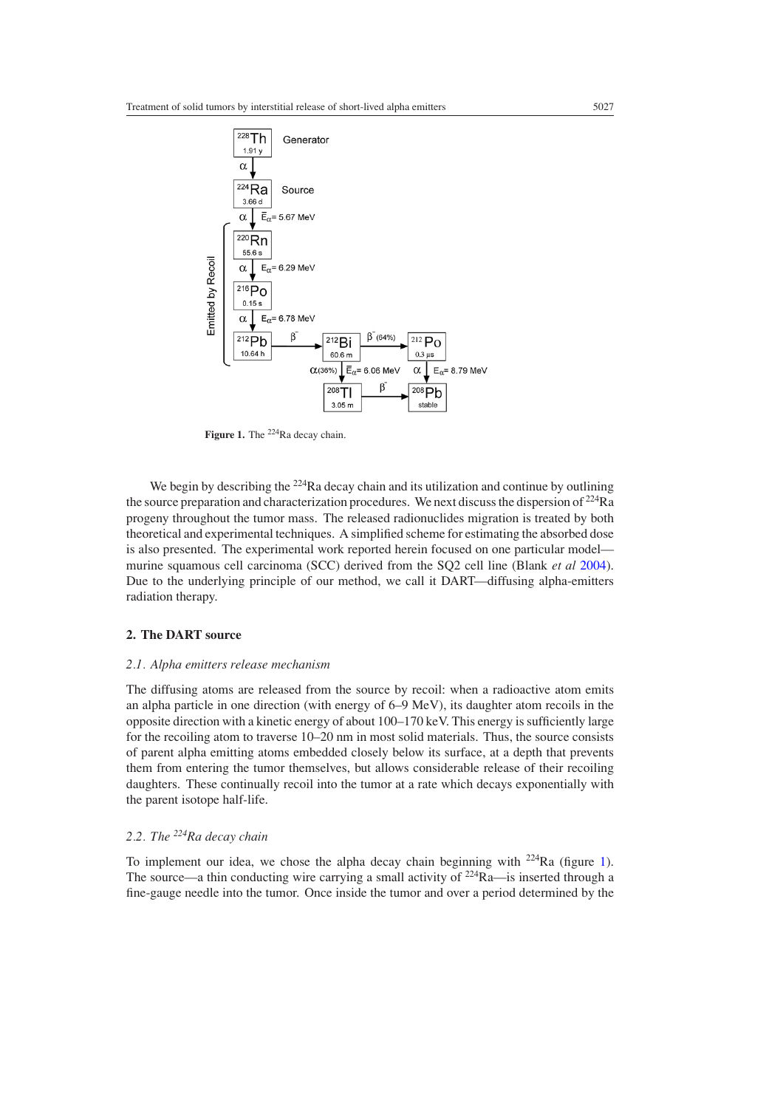

**Figure 1.** The <sup>224</sup>Ra decay chain.

We begin by describing the <sup>224</sup>Ra decay chain and its utilization and continue by outlining the source preparation and characterization procedures. We next discuss the dispersion of  $^{224}$ Ra progeny throughout the tumor mass. The released radionuclides migration is treated by both theoretical and experimental techniques. A simplified scheme for estimating the absorbed dose is also presented. The experimental work reported herein focused on one particular model murine squamous cell carcinoma (SCC) derived from the SQ2 cell line (Blank *et al* [2004\)](#page-17-0). Due to the underlying principle of our method, we call it DART—diffusing alpha-emitters radiation therapy.

#### **2. The DART source**

#### *2.1. Alpha emitters release mechanism*

The diffusing atoms are released from the source by recoil: when a radioactive atom emits an alpha particle in one direction (with energy of  $6-9 \text{ MeV}$ ), its daughter atom recoils in the opposite direction with a kinetic energy of about 100–170 keV. This energy is sufficiently large for the recoiling atom to traverse 10–20 nm in most solid materials. Thus, the source consists of parent alpha emitting atoms embedded closely below its surface, at a depth that prevents them from entering the tumor themselves, but allows considerable release of their recoiling daughters. These continually recoil into the tumor at a rate which decays exponentially with the parent isotope half-life.

# *2.2. The 224Ra decay chain*

To implement our idea, we chose the alpha decay chain beginning with 224Ra (figure 1). The source—a thin conducting wire carrying a small activity of  $224Ra$ —is inserted through a fine-gauge needle into the tumor. Once inside the tumor and over a period determined by the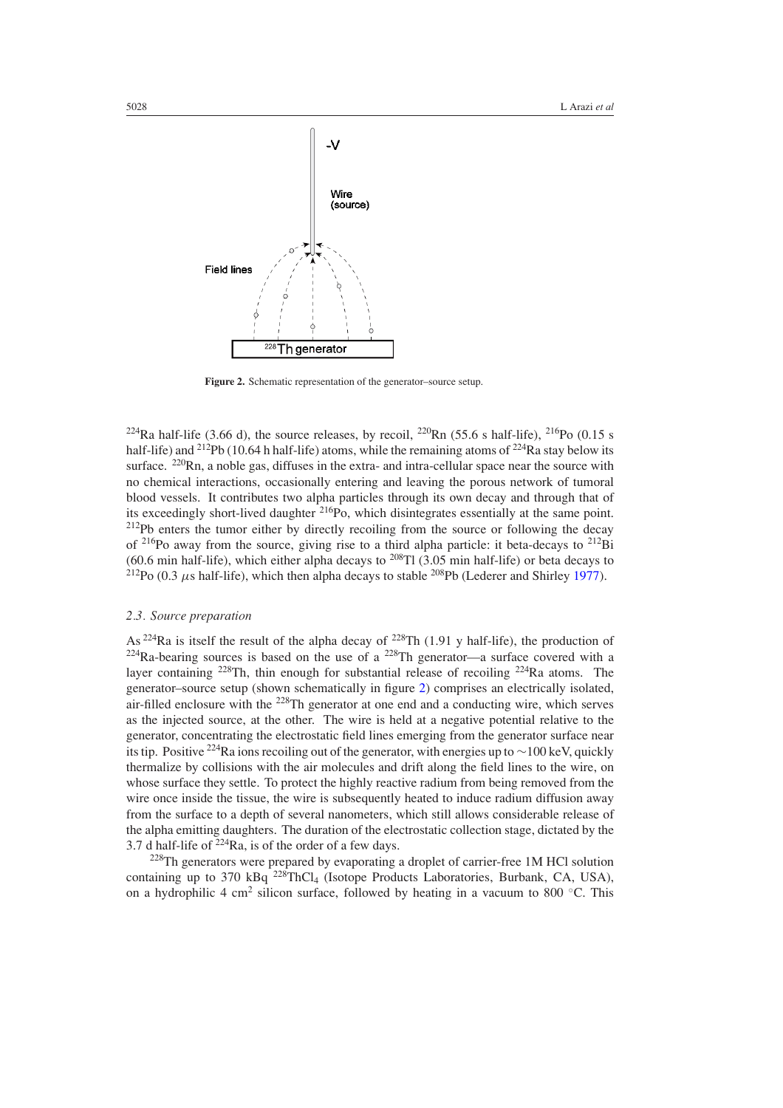

**Figure 2.** Schematic representation of the generator–source setup.

<sup>224</sup>Ra half-life (3.66 d), the source releases, by recoil, <sup>220</sup>Rn (55.6 s half-life), <sup>216</sup>Po (0.15 s half-life) and <sup>212</sup>Pb (10.64 h half-life) atoms, while the remaining atoms of <sup>224</sup>Ra stay below its surface.  $220$ Rn, a noble gas, diffuses in the extra- and intra-cellular space near the source with no chemical interactions, occasionally entering and leaving the porous network of tumoral blood vessels. It contributes two alpha particles through its own decay and through that of its exceedingly short-lived daughter 216Po, which disintegrates essentially at the same point.  $2^{12}Pb$  enters the tumor either by directly recoiling from the source or following the decay of  $^{216}$ Po away from the source, giving rise to a third alpha particle: it beta-decays to  $^{212}$ Bi (60.6 min half-life), which either alpha decays to  $^{208}$ Tl (3.05 min half-life) or beta decays to  $^{212}Po$  (0.3  $\mu$ s half-life), which then alpha decays to stable <sup>208</sup>Pb (Lederer and Shirley [1977\)](#page-17-0).

### *2.3. Source preparation*

As <sup>224</sup>Ra is itself the result of the alpha decay of <sup>228</sup>Th (1.91 y half-life), the production of  $^{224}$ Ra-bearing sources is based on the use of a  $^{228}$ Th generator—a surface covered with a layer containing 228Th, thin enough for substantial release of recoiling 224Ra atoms. The generator–source setup (shown schematically in figure 2) comprises an electrically isolated, air-filled enclosure with the 228Th generator at one end and a conducting wire, which serves as the injected source, at the other. The wire is held at a negative potential relative to the generator, concentrating the electrostatic field lines emerging from the generator surface near its tip. Positive <sup>224</sup>Ra ions recoiling out of the generator, with energies up to ∼100 keV, quickly thermalize by collisions with the air molecules and drift along the field lines to the wire, on whose surface they settle. To protect the highly reactive radium from being removed from the wire once inside the tissue, the wire is subsequently heated to induce radium diffusion away from the surface to a depth of several nanometers, which still allows considerable release of the alpha emitting daughters. The duration of the electrostatic collection stage, dictated by the 3.7 d half-life of  $2^{24}$ Ra, is of the order of a few days.

<sup>228</sup>Th generators were prepared by evaporating a droplet of carrier-free 1M HCl solution containing up to 370 kBq  $^{228}$ ThCl<sub>4</sub> (Isotope Products Laboratories, Burbank, CA, USA), on a hydrophilic 4 cm<sup>2</sup> silicon surface, followed by heating in a vacuum to 800  $°C$ . This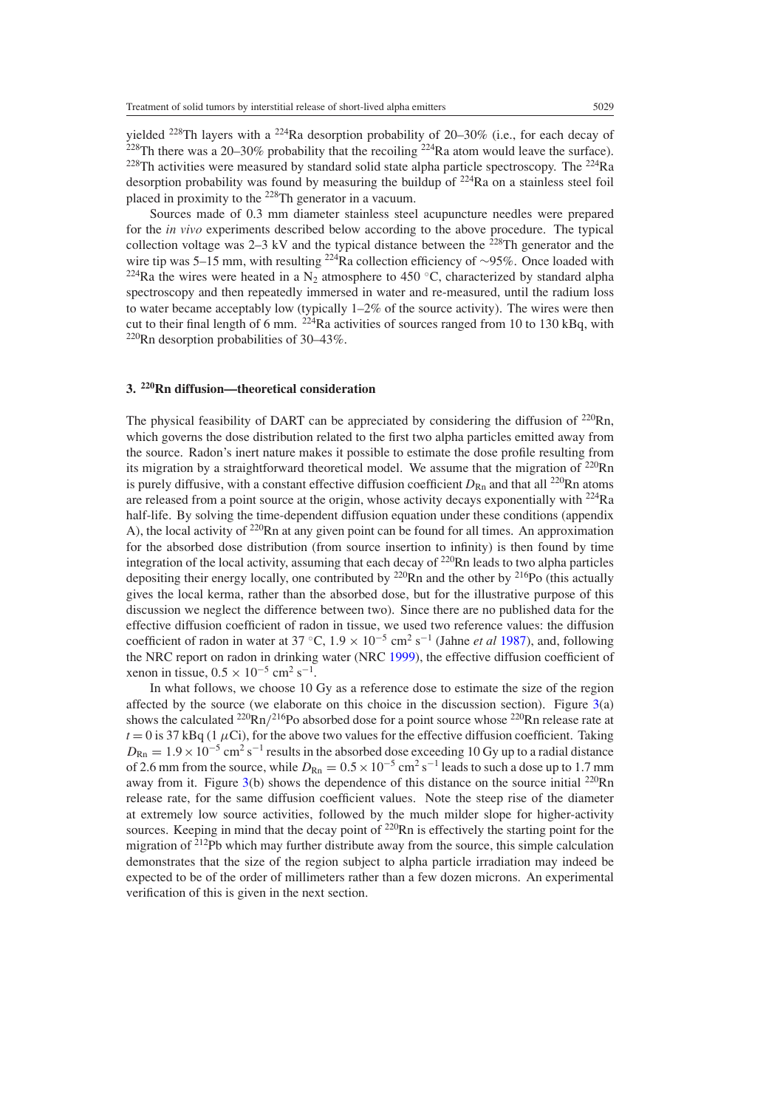yielded <sup>228</sup>Th layers with a <sup>224</sup>Ra desorption probability of 20–30% (i.e., for each decay of <sup>228</sup>Th there was a 20–30% probability that the recoiling <sup>224</sup>Ra atom would leave the surface).  $228$ Th activities were measured by standard solid state alpha particle spectroscopy. The  $224$ Ra desorption probability was found by measuring the buildup of  $^{224}Ra$  on a stainless steel foil placed in proximity to the 228Th generator in a vacuum.

Sources made of 0.3 mm diameter stainless steel acupuncture needles were prepared for the *in vivo* experiments described below according to the above procedure. The typical collection voltage was  $2-3$  kV and the typical distance between the  $228$ Th generator and the wire tip was 5–15 mm, with resulting <sup>224</sup>Ra collection efficiency of ∼95%. Once loaded with <sup>224</sup>Ra the wires were heated in a N<sub>2</sub> atmosphere to 450 °C, characterized by standard alpha spectroscopy and then repeatedly immersed in water and re-measured, until the radium loss to water became acceptably low (typically 1–2% of the source activity). The wires were then cut to their final length of 6 mm.  $^{224}$ Ra activities of sources ranged from 10 to 130 kBq, with  $220$ Rn desorption probabilities of 30–43%.

### **3. 220Rn diffusion—theoretical consideration**

The physical feasibility of DART can be appreciated by considering the diffusion of  $2^{20}Rn$ , which governs the dose distribution related to the first two alpha particles emitted away from the source. Radon's inert nature makes it possible to estimate the dose profile resulting from its migration by a straightforward theoretical model. We assume that the migration of  $^{220}$ Rn is purely diffusive, with a constant effective diffusion coefficient  $D_{\text{Rn}}$  and that all <sup>220</sup>Rn atoms are released from a point source at the origin, whose activity decays exponentially with  $^{224}$ Ra half-life. By solving the time-dependent diffusion equation under these conditions (appendix A), the local activity of  $220$ Rn at any given point can be found for all times. An approximation for the absorbed dose distribution (from source insertion to infinity) is then found by time integration of the local activity, assuming that each decay of  $220$ Rn leads to two alpha particles depositing their energy locally, one contributed by  $^{220}$ Rn and the other by  $^{216}$ Po (this actually gives the local kerma, rather than the absorbed dose, but for the illustrative purpose of this discussion we neglect the difference between two). Since there are no published data for the effective diffusion coefficient of radon in tissue, we used two reference values: the diffusion coefficient of radon in water at 37 °C,  $1.9 \times 10^{-5}$  cm<sup>2</sup> s<sup>-1</sup> (Jahne *et al* [1987\)](#page-17-0), and, following the NRC report on radon in drinking water (NRC [1999\)](#page-17-0), the effective diffusion coefficient of xenon in tissue,  $0.5 \times 10^{-5}$  cm<sup>2</sup> s<sup>-1</sup>.

In what follows, we choose 10 Gy as a reference dose to estimate the size of the region affected by the source (we elaborate on this choice in the discussion section). Figure  $3(a)$  $3(a)$ shows the calculated  $^{220}$ Rn<sup> $/216$ </sup>Po absorbed dose for a point source whose  $^{220}$ Rn release rate at  $t = 0$  is 37 kBq (1  $\mu$ Ci), for the above two values for the effective diffusion coefficient. Taking  $D_{\text{Rn}} = 1.9 \times 10^{-5} \text{ cm}^2 \text{ s}^{-1}$  results in the absorbed dose exceeding 10 Gy up to a radial distance of 2.6 mm from the source, while  $D_{\text{Rn}} = 0.5 \times 10^{-5} \text{ cm}^2 \text{ s}^{-1}$  leads to such a dose up to 1.7 mm away from it. Figure  $3(b)$  $3(b)$  shows the dependence of this distance on the source initial  $^{220}$ Rn release rate, for the same diffusion coefficient values. Note the steep rise of the diameter at extremely low source activities, followed by the much milder slope for higher-activity sources. Keeping in mind that the decay point of <sup>220</sup>Rn is effectively the starting point for the migration of  $2^{12}Pb$  which may further distribute away from the source, this simple calculation demonstrates that the size of the region subject to alpha particle irradiation may indeed be expected to be of the order of millimeters rather than a few dozen microns. An experimental verification of this is given in the next section.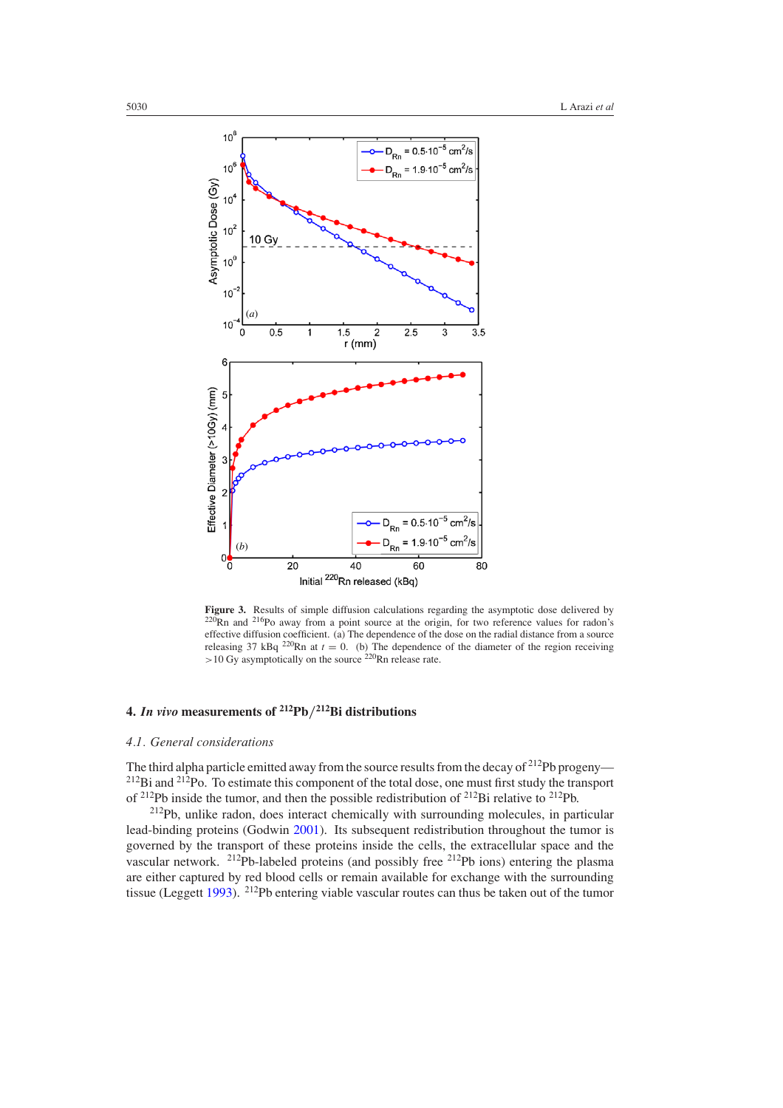<span id="page-6-0"></span>

**Figure 3.** Results of simple diffusion calculations regarding the asymptotic dose delivered by  $\frac{220 \text{ p}}{220 \text{ p}}$  ${}^{0}$ Rn and <sup>216</sup>Po away from a point source at the origin, for two reference values for radon's effective diffusion coefficient. (a) The dependence of the dose on the radial distance from a source releasing 37 kBq <sup>220</sup>Rn at  $t = 0$ . (b) The dependence of the diameter of the region receiving *>*10 Gy asymptotically on the source 220Rn release rate.

# **4.** *In vivo* **measurements of 212Pb***/***212Bi distributions**

### *4.1. General considerations*

The third alpha particle emitted away from the source results from the decay of  $2^{12}Pb$  progeny—  $^{212}$ Bi and  $^{212}$ Po. To estimate this component of the total dose, one must first study the transport of <sup>212</sup>Pb inside the tumor, and then the possible redistribution of <sup>212</sup>Bi relative to <sup>212</sup>Pb.

212Pb, unlike radon, does interact chemically with surrounding molecules, in particular lead-binding proteins (Godwin [2001\)](#page-17-0). Its subsequent redistribution throughout the tumor is governed by the transport of these proteins inside the cells, the extracellular space and the vascular network. 212Pb-labeled proteins (and possibly free 212Pb ions) entering the plasma are either captured by red blood cells or remain available for exchange with the surrounding tissue (Leggett [1993\)](#page-17-0). 212Pb entering viable vascular routes can thus be taken out of the tumor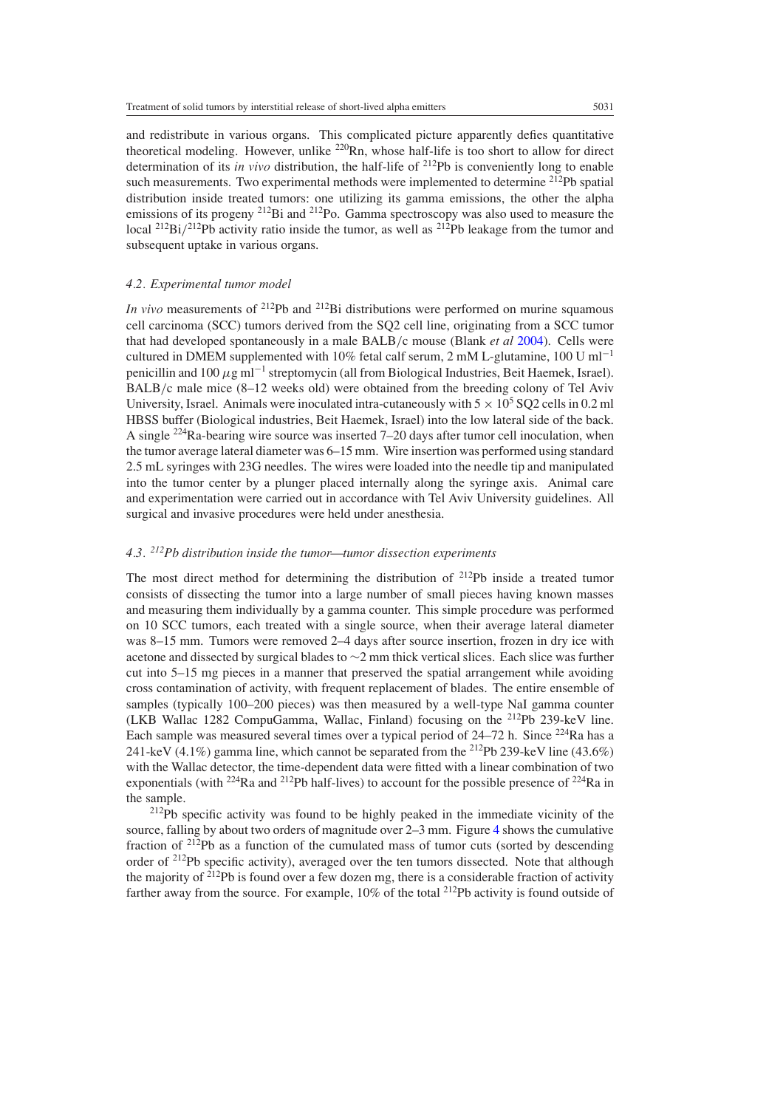and redistribute in various organs. This complicated picture apparently defies quantitative theoretical modeling. However, unlike  $^{220}$ Rn, whose half-life is too short to allow for direct determination of its *in vivo* distribution, the half-life of <sup>212</sup>Pb is conveniently long to enable such measurements. Two experimental methods were implemented to determine <sup>212</sup>Pb spatial distribution inside treated tumors: one utilizing its gamma emissions, the other the alpha emissions of its progeny <sup>212</sup>Bi and <sup>212</sup>Po. Gamma spectroscopy was also used to measure the local <sup>212</sup>Bi/<sup>212</sup>Pb activity ratio inside the tumor, as well as <sup>212</sup>Pb leakage from the tumor and subsequent uptake in various organs.

### *4.2. Experimental tumor model*

*In vivo* measurements of <sup>212</sup>Pb and <sup>212</sup>Bi distributions were performed on murine squamous cell carcinoma (SCC) tumors derived from the SQ2 cell line, originating from a SCC tumor that had developed spontaneously in a male BALB*/*c mouse (Blank *et al* [2004](#page-17-0)). Cells were cultured in DMEM supplemented with 10% fetal calf serum, 2 mM L-glutamine, 100 U ml<sup>-1</sup> penicillin and 100 *µ*g ml−<sup>1</sup> streptomycin (all from Biological Industries, Beit Haemek, Israel). BALB/c male mice  $(8-12$  weeks old) were obtained from the breeding colony of Tel Aviv University, Israel. Animals were inoculated intra-cutaneously with  $5 \times 10^5$  SQ2 cells in 0.2 ml HBSS buffer (Biological industries, Beit Haemek, Israel) into the low lateral side of the back. A single  $^{224}$ Ra-bearing wire source was inserted 7–20 days after tumor cell inoculation, when the tumor average lateral diameter was 6–15 mm. Wire insertion was performed using standard 2.5 mL syringes with 23G needles. The wires were loaded into the needle tip and manipulated into the tumor center by a plunger placed internally along the syringe axis. Animal care and experimentation were carried out in accordance with Tel Aviv University guidelines. All surgical and invasive procedures were held under anesthesia.

# *4.3. 212Pb distribution inside the tumor—tumor dissection experiments*

The most direct method for determining the distribution of  $2^{12}Pb$  inside a treated tumor consists of dissecting the tumor into a large number of small pieces having known masses and measuring them individually by a gamma counter. This simple procedure was performed on 10 SCC tumors, each treated with a single source, when their average lateral diameter was 8–15 mm. Tumors were removed 2–4 days after source insertion, frozen in dry ice with acetone and dissected by surgical blades to ∼2 mm thick vertical slices. Each slice was further cut into 5–15 mg pieces in a manner that preserved the spatial arrangement while avoiding cross contamination of activity, with frequent replacement of blades. The entire ensemble of samples (typically 100–200 pieces) was then measured by a well-type NaI gamma counter (LKB Wallac 1282 CompuGamma, Wallac, Finland) focusing on the 212Pb 239-keV line. Each sample was measured several times over a typical period of  $24-72$  h. Since  $^{224}$ Ra has a 241-keV (4.1%) gamma line, which cannot be separated from the 212Pb 239-keV line (43.6%) with the Wallac detector, the time-dependent data were fitted with a linear combination of two exponentials (with <sup>224</sup>Ra and <sup>212</sup>Pb half-lives) to account for the possible presence of <sup>224</sup>Ra in the sample.

 $2^{12}Pb$  specific activity was found to be highly peaked in the immediate vicinity of the source, falling by about two orders of magnitude over 2–3 mm. Figure [4](#page-8-0) shows the cumulative fraction of  $2^{12}Pb$  as a function of the cumulated mass of tumor cuts (sorted by descending order of <sup>212</sup>Pb specific activity), averaged over the ten tumors dissected. Note that although the majority of  $^{212}Pb$  is found over a few dozen mg, there is a considerable fraction of activity farther away from the source. For example,  $10\%$  of the total <sup>212</sup>Pb activity is found outside of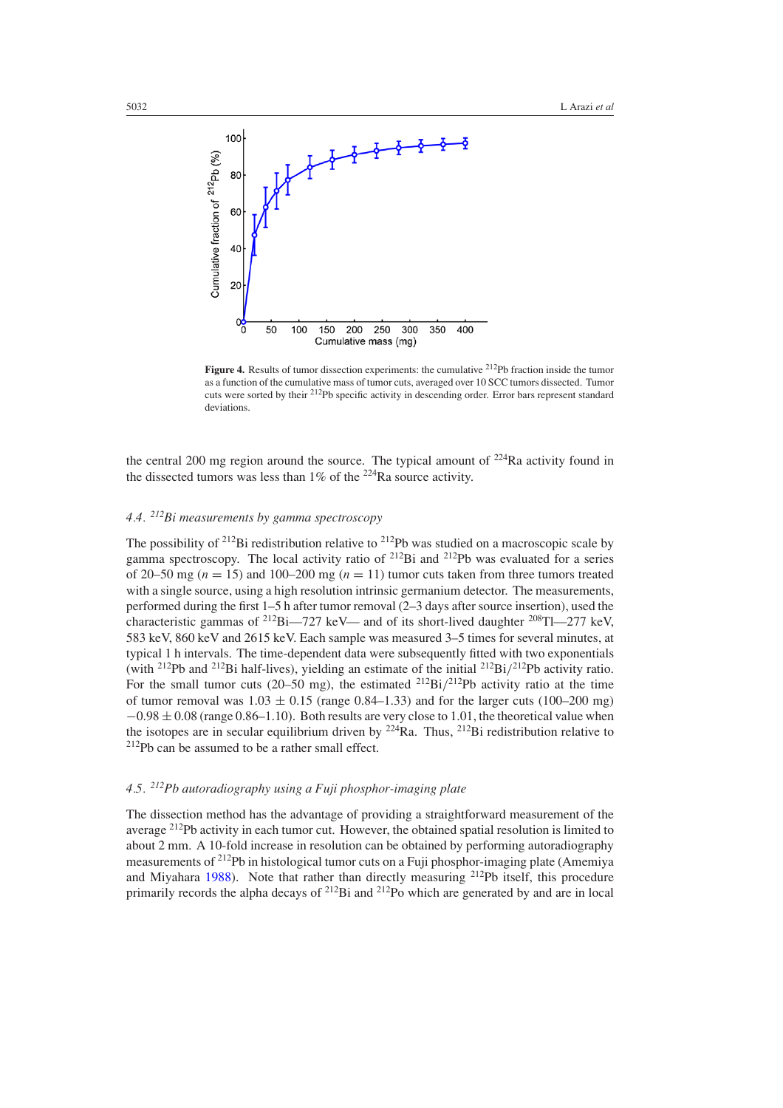<span id="page-8-0"></span>

**Figure 4.** Results of tumor dissection experiments: the cumulative <sup>212</sup>Pb fraction inside the tumor as a function of the cumulative mass of tumor cuts, averaged over 10 SCC tumors dissected. Tumor cuts were sorted by their 212Pb specific activity in descending order. Error bars represent standard deviations.

the central 200 mg region around the source. The typical amount of  $224$ Ra activity found in the dissected tumors was less than  $1\%$  of the <sup>224</sup>Ra source activity.

# *4.4. 212Bi measurements by gamma spectroscopy*

The possibility of <sup>212</sup>Bi redistribution relative to <sup>212</sup>Pb was studied on a macroscopic scale by gamma spectroscopy. The local activity ratio of  $^{212}Bi$  and  $^{212}Pb$  was evaluated for a series of 20–50 mg ( $n = 15$ ) and 100–200 mg ( $n = 11$ ) tumor cuts taken from three tumors treated with a single source, using a high resolution intrinsic germanium detector. The measurements, performed during the first 1–5 h after tumor removal (2–3 days after source insertion), used the characteristic gammas of  $^{212}Bi-727$  keV— and of its short-lived daughter  $^{208}Ti-277$  keV, 583 keV, 860 keV and 2615 keV. Each sample was measured 3–5 times for several minutes, at typical 1 h intervals. The time-dependent data were subsequently fitted with two exponentials (with 212Pb and 212Bi half-lives), yielding an estimate of the initial 212Bi*/*212Pb activity ratio. For the small tumor cuts (20–50 mg), the estimated 212Bi*/*212Pb activity ratio at the time of tumor removal was  $1.03 \pm 0.15$  (range 0.84–1.33) and for the larger cuts (100–200 mg)  $-0.98 \pm 0.08$  (range 0.86–1.10). Both results are very close to 1.01, the theoretical value when the isotopes are in secular equilibrium driven by  $224$ Ra. Thus,  $212$ Bi redistribution relative to  $212$ Pb can be assumed to be a rather small effect.

# *4.5. 212Pb autoradiography using a Fuji phosphor-imaging plate*

The dissection method has the advantage of providing a straightforward measurement of the average 212Pb activity in each tumor cut. However, the obtained spatial resolution is limited to about 2 mm. A 10-fold increase in resolution can be obtained by performing autoradiography measurements of 212Pb in histological tumor cuts on a Fuji phosphor-imaging plate (Amemiya and Miyahara [1988\)](#page-17-0). Note that rather than directly measuring 212Pb itself, this procedure primarily records the alpha decays of <sup>212</sup>Bi and <sup>212</sup>Po which are generated by and are in local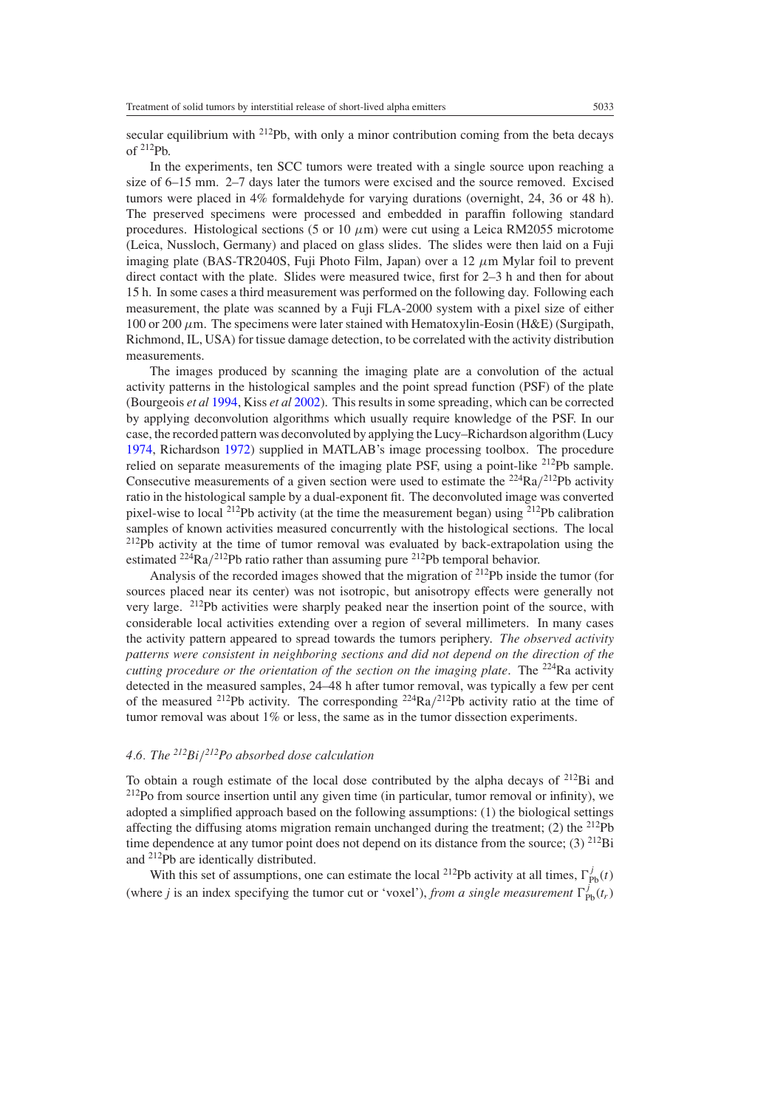secular equilibrium with  $^{212}Pb$ , with only a minor contribution coming from the beta decays of  $^{212}Pb$ .

In the experiments, ten SCC tumors were treated with a single source upon reaching a size of 6–15 mm. 2–7 days later the tumors were excised and the source removed. Excised tumors were placed in 4% formaldehyde for varying durations (overnight, 24, 36 or 48 h). The preserved specimens were processed and embedded in paraffin following standard procedures. Histological sections (5 or 10  $\mu$ m) were cut using a Leica RM2055 microtome (Leica, Nussloch, Germany) and placed on glass slides. The slides were then laid on a Fuji imaging plate (BAS-TR2040S, Fuji Photo Film, Japan) over a 12 *µ*m Mylar foil to prevent direct contact with the plate. Slides were measured twice, first for 2–3 h and then for about 15 h. In some cases a third measurement was performed on the following day. Following each measurement, the plate was scanned by a Fuji FLA-2000 system with a pixel size of either 100 or 200 *µ*m. The specimens were later stained with Hematoxylin-Eosin (H&E) (Surgipath, Richmond, IL, USA) for tissue damage detection, to be correlated with the activity distribution measurements.

The images produced by scanning the imaging plate are a convolution of the actual activity patterns in the histological samples and the point spread function (PSF) of the plate (Bourgeois *et al* [1994,](#page-17-0) Kiss *et al* [2002](#page-17-0)). This results in some spreading, which can be corrected by applying deconvolution algorithms which usually require knowledge of the PSF. In our case, the recorded pattern was deconvoluted by applying the Lucy–Richardson algorithm (Lucy [1974,](#page-17-0) Richardson [1972](#page-17-0)) supplied in MATLAB's image processing toolbox. The procedure relied on separate measurements of the imaging plate PSF, using a point-like <sup>212</sup>Pb sample. Consecutive measurements of a given section were used to estimate the 224Ra*/*212Pb activity ratio in the histological sample by a dual-exponent fit. The deconvoluted image was converted pixel-wise to local 212Pb activity (at the time the measurement began) using 212Pb calibration samples of known activities measured concurrently with the histological sections. The local  $212Pb$  activity at the time of tumor removal was evaluated by back-extrapolation using the estimated  $^{224}Ra/^{212}Pb$  ratio rather than assuming pure  $^{212}Pb$  temporal behavior.

Analysis of the recorded images showed that the migration of  $^{212}Pb$  inside the tumor (for sources placed near its center) was not isotropic, but anisotropy effects were generally not very large. 212Pb activities were sharply peaked near the insertion point of the source, with considerable local activities extending over a region of several millimeters. In many cases the activity pattern appeared to spread towards the tumors periphery. *The observed activity patterns were consistent in neighboring sections and did not depend on the direction of the cutting procedure or the orientation of the section on the imaging plate*. The 224Ra activity detected in the measured samples, 24–48 h after tumor removal, was typically a few per cent of the measured <sup>212</sup>Pb activity. The corresponding <sup>224</sup>Ra $/2^{12}$ Pb activity ratio at the time of tumor removal was about 1% or less, the same as in the tumor dissection experiments.

### *4.6. The 212Bi/212Po absorbed dose calculation*

To obtain a rough estimate of the local dose contributed by the alpha decays of 212Bi and  $2^{12}$ Po from source insertion until any given time (in particular, tumor removal or infinity), we adopted a simplified approach based on the following assumptions: (1) the biological settings affecting the diffusing atoms migration remain unchanged during the treatment; (2) the  $^{212}Pb$ time dependence at any tumor point does not depend on its distance from the source; (3)  $^{212}$ Bi and 212Pb are identically distributed.

With this set of assumptions, one can estimate the local <sup>212</sup>Pb activity at all times,  $\Gamma_{\text{Pb}}^{j}(t)$ (where *j* is an index specifying the tumor cut or 'voxel'), *from a single measurement*  $\Gamma_{\text{Pb}}^{j}(t_r)$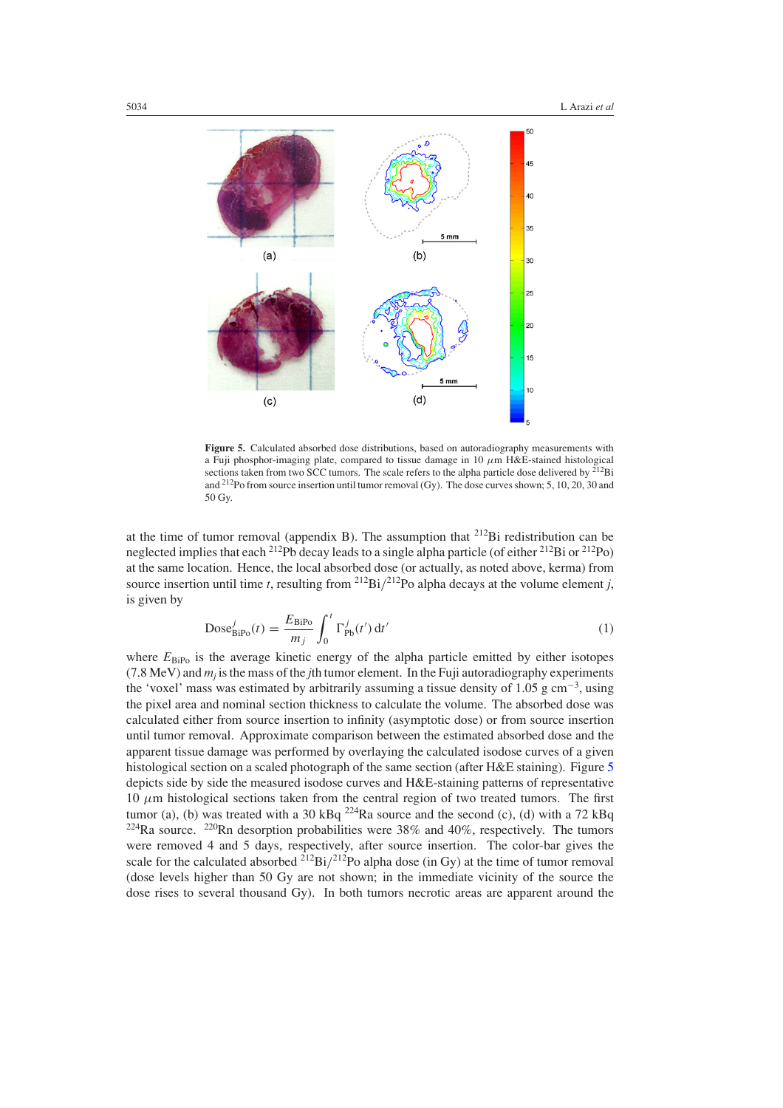

**Figure 5.** Calculated absorbed dose distributions, based on autoradiography measurements with a Fuji phosphor-imaging plate, compared to tissue damage in  $10 \mu m$  H&E-stained histological sections taken from two SCC tumors. The scale refers to the alpha particle dose delivered by  $^{212}Bi$ and 212Po from source insertion until tumor removal (Gy). The dose curves shown; 5, 10, 20, 30 and 50 Gy.

at the time of tumor removal (appendix B). The assumption that 212Bi redistribution can be neglected implies that each <sup>212</sup>Pb decay leads to a single alpha particle (of either <sup>212</sup>Bi or <sup>212</sup>Po) at the same location. Hence, the local absorbed dose (or actually, as noted above, kerma) from source insertion until time *t*, resulting from <sup>212</sup>Bi/<sup>212</sup>Po alpha decays at the volume element *i*. is given by

$$
\text{Dose}_{\text{BiPo}}^j(t) = \frac{E_{\text{BiPo}}}{m_j} \int_0^t \Gamma_{\text{Pb}}^j(t') dt'
$$
 (1)

where  $E_{\text{BiPo}}$  is the average kinetic energy of the alpha particle emitted by either isotopes (7.8 MeV) and  $m<sub>i</sub>$  is the mass of the *j*th tumor element. In the Fuji autoradiography experiments the 'voxel' mass was estimated by arbitrarily assuming a tissue density of 1.05 g cm−<sup>3</sup> , using the pixel area and nominal section thickness to calculate the volume. The absorbed dose was calculated either from source insertion to infinity (asymptotic dose) or from source insertion until tumor removal. Approximate comparison between the estimated absorbed dose and the apparent tissue damage was performed by overlaying the calculated isodose curves of a given histological section on a scaled photograph of the same section (after H&E staining). Figure 5 depicts side by side the measured isodose curves and H&E-staining patterns of representative 10  $\mu$ m histological sections taken from the central region of two treated tumors. The first tumor (a), (b) was treated with a 30 kBq  $^{224}$ Ra source and the second (c), (d) with a 72 kBq  $224$ Ra source.  $220$ Rn desorption probabilities were 38% and 40%, respectively. The tumors were removed 4 and 5 days, respectively, after source insertion. The color-bar gives the scale for the calculated absorbed <sup>212</sup>Bi/<sup>212</sup>Po alpha dose (in Gy) at the time of tumor removal (dose levels higher than 50 Gy are not shown; in the immediate vicinity of the source the dose rises to several thousand Gy). In both tumors necrotic areas are apparent around the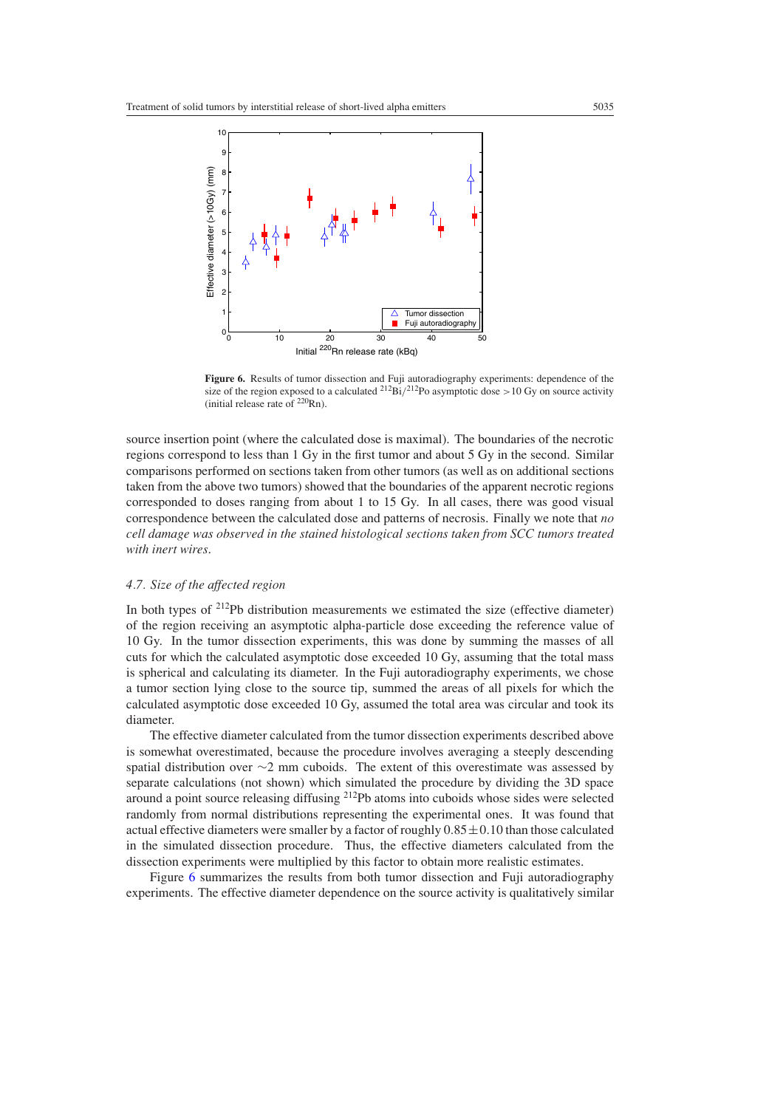<span id="page-11-0"></span>

**Figure 6.** Results of tumor dissection and Fuji autoradiography experiments: dependence of the size of the region exposed to a calculated 212Bi*/*212Po asymptotic dose *>*10 Gy on source activity (initial release rate of  $^{220}$ Rn).

source insertion point (where the calculated dose is maximal). The boundaries of the necrotic regions correspond to less than 1 Gy in the first tumor and about 5 Gy in the second. Similar comparisons performed on sections taken from other tumors (as well as on additional sections taken from the above two tumors) showed that the boundaries of the apparent necrotic regions corresponded to doses ranging from about 1 to 15 Gy. In all cases, there was good visual correspondence between the calculated dose and patterns of necrosis. Finally we note that *no cell damage was observed in the stained histological sections taken from SCC tumors treated with inert wires*.

### *4.7. Size of the affected region*

In both types of  $2^{12}Pb$  distribution measurements we estimated the size (effective diameter) of the region receiving an asymptotic alpha-particle dose exceeding the reference value of 10 Gy. In the tumor dissection experiments, this was done by summing the masses of all cuts for which the calculated asymptotic dose exceeded 10 Gy, assuming that the total mass is spherical and calculating its diameter. In the Fuji autoradiography experiments, we chose a tumor section lying close to the source tip, summed the areas of all pixels for which the calculated asymptotic dose exceeded 10 Gy, assumed the total area was circular and took its diameter.

The effective diameter calculated from the tumor dissection experiments described above is somewhat overestimated, because the procedure involves averaging a steeply descending spatial distribution over ∼2 mm cuboids. The extent of this overestimate was assessed by separate calculations (not shown) which simulated the procedure by dividing the 3D space around a point source releasing diffusing 212Pb atoms into cuboids whose sides were selected randomly from normal distributions representing the experimental ones. It was found that actual effective diameters were smaller by a factor of roughly  $0.85 \pm 0.10$  than those calculated in the simulated dissection procedure. Thus, the effective diameters calculated from the dissection experiments were multiplied by this factor to obtain more realistic estimates.

Figure 6 summarizes the results from both tumor dissection and Fuji autoradiography experiments. The effective diameter dependence on the source activity is qualitatively similar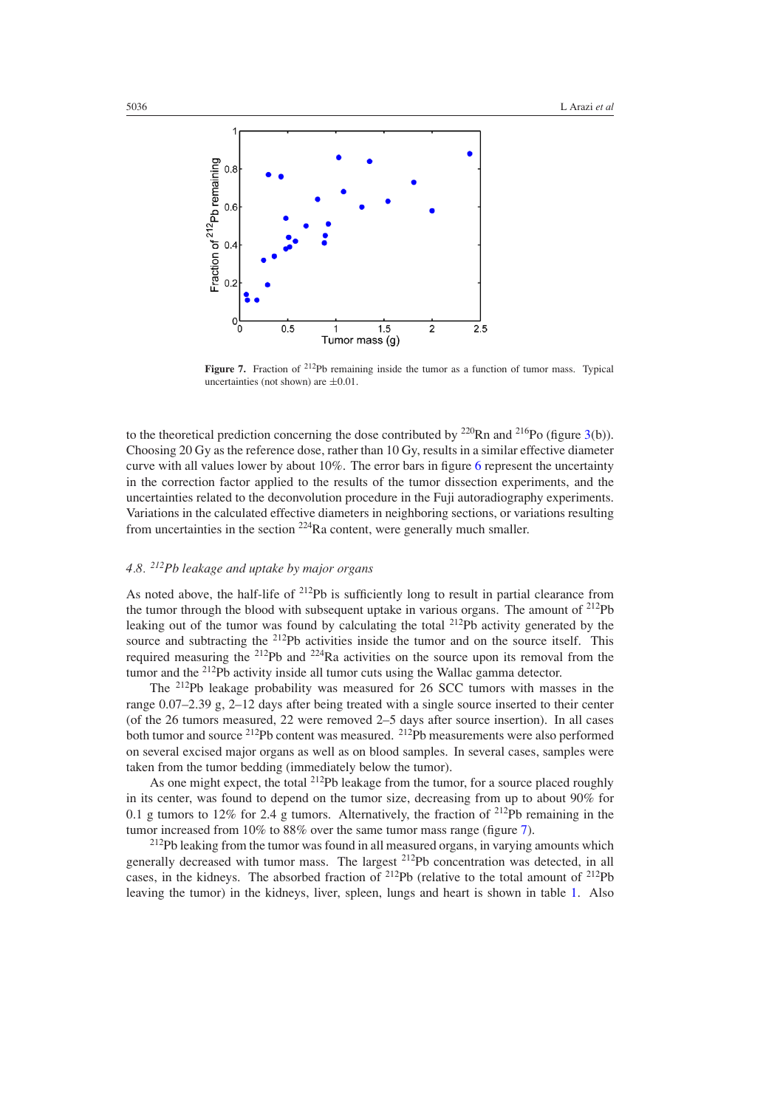

**Figure 7.** Fraction of <sup>212</sup>Pb remaining inside the tumor as a function of tumor mass. Typical uncertainties (not shown) are  $\pm 0.01$ .

to the theoretical prediction concerning the dose contributed by  $^{220}$ Rn and  $^{216}$ Po (figure [3\(](#page-6-0)b)). Choosing 20 Gy as the reference dose, rather than 10 Gy, results in a similar effective diameter curve with all values lower by about 10%. The error bars in figure [6](#page-11-0) represent the uncertainty in the correction factor applied to the results of the tumor dissection experiments, and the uncertainties related to the deconvolution procedure in the Fuji autoradiography experiments. Variations in the calculated effective diameters in neighboring sections, or variations resulting from uncertainties in the section 224Ra content, were generally much smaller.

# *4.8. 212Pb leakage and uptake by major organs*

As noted above, the half-life of  $^{212}Pb$  is sufficiently long to result in partial clearance from the tumor through the blood with subsequent uptake in various organs. The amount of  $2^{12}Pb$ leaking out of the tumor was found by calculating the total  $^{212}Pb$  activity generated by the source and subtracting the <sup>212</sup>Pb activities inside the tumor and on the source itself. This required measuring the  $2^{12}Pb$  and  $2^{24}Ra$  activities on the source upon its removal from the tumor and the <sup>212</sup>Pb activity inside all tumor cuts using the Wallac gamma detector.

The 212Pb leakage probability was measured for 26 SCC tumors with masses in the range 0.07–2.39 g, 2–12 days after being treated with a single source inserted to their center (of the 26 tumors measured, 22 were removed 2–5 days after source insertion). In all cases both tumor and source <sup>212</sup>Pb content was measured. <sup>212</sup>Pb measurements were also performed on several excised major organs as well as on blood samples. In several cases, samples were taken from the tumor bedding (immediately below the tumor).

As one might expect, the total <sup>212</sup>Pb leakage from the tumor, for a source placed roughly in its center, was found to depend on the tumor size, decreasing from up to about 90% for 0.1 g tumors to 12% for 2.4 g tumors. Alternatively, the fraction of  $^{212}Pb$  remaining in the tumor increased from 10% to 88% over the same tumor mass range (figure 7).

<sup>212</sup>Pb leaking from the tumor was found in all measured organs, in varying amounts which generally decreased with tumor mass. The largest 212Pb concentration was detected, in all cases, in the kidneys. The absorbed fraction of  $^{212}Pb$  (relative to the total amount of  $^{212}Pb$ leaving the tumor) in the kidneys, liver, spleen, lungs and heart is shown in table [1.](#page-13-0) Also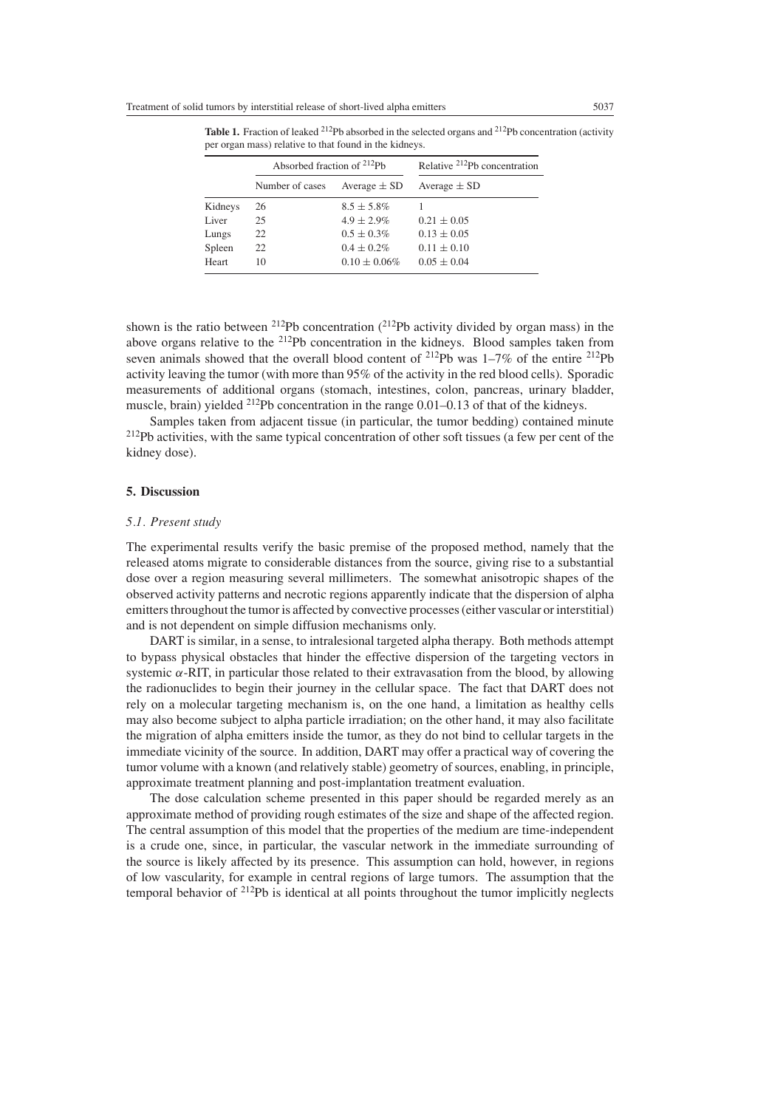|         | Absorbed fraction of <sup>212</sup> Ph |                   | Relative <sup>212</sup> Pb concentration |
|---------|----------------------------------------|-------------------|------------------------------------------|
|         | Number of cases                        | Average $\pm$ SD  | Average $\pm$ SD                         |
| Kidneys | 26                                     | $8.5 \pm 5.8\%$   |                                          |
| Liver   | 25                                     | $4.9 \pm 2.9\%$   | $0.21 \pm 0.05$                          |
| Lungs   | 22                                     | $0.5 \pm 0.3\%$   | $0.13 \pm 0.05$                          |
| Spleen  | 22                                     | $0.4 \pm 0.2\%$   | $0.11 \pm 0.10$                          |
| Heart   | 10                                     | $0.10 \pm 0.06\%$ | $0.05 \pm 0.04$                          |

<span id="page-13-0"></span>Table 1. Fraction of leaked <sup>212</sup>Pb absorbed in the selected organs and <sup>212</sup>Pb concentration (activity per organ mass) relative to that found in the kidneys.

shown is the ratio between <sup>212</sup>Pb concentration  $(^{212}Pb$  activity divided by organ mass) in the above organs relative to the 212Pb concentration in the kidneys. Blood samples taken from seven animals showed that the overall blood content of <sup>212</sup>Pb was 1–7% of the entire <sup>212</sup>Pb activity leaving the tumor (with more than 95% of the activity in the red blood cells). Sporadic measurements of additional organs (stomach, intestines, colon, pancreas, urinary bladder, muscle, brain) yielded  $^{212}$ Pb concentration in the range 0.01–0.13 of that of the kidneys.

Samples taken from adjacent tissue (in particular, the tumor bedding) contained minute <sup>212</sup>Pb activities, with the same typical concentration of other soft tissues (a few per cent of the kidney dose).

#### **5. Discussion**

#### *5.1. Present study*

The experimental results verify the basic premise of the proposed method, namely that the released atoms migrate to considerable distances from the source, giving rise to a substantial dose over a region measuring several millimeters. The somewhat anisotropic shapes of the observed activity patterns and necrotic regions apparently indicate that the dispersion of alpha emitters throughout the tumor is affected by convective processes (either vascular or interstitial) and is not dependent on simple diffusion mechanisms only.

DART is similar, in a sense, to intralesional targeted alpha therapy. Both methods attempt to bypass physical obstacles that hinder the effective dispersion of the targeting vectors in systemic  $\alpha$ -RIT, in particular those related to their extravasation from the blood, by allowing the radionuclides to begin their journey in the cellular space. The fact that DART does not rely on a molecular targeting mechanism is, on the one hand, a limitation as healthy cells may also become subject to alpha particle irradiation; on the other hand, it may also facilitate the migration of alpha emitters inside the tumor, as they do not bind to cellular targets in the immediate vicinity of the source. In addition, DART may offer a practical way of covering the tumor volume with a known (and relatively stable) geometry of sources, enabling, in principle, approximate treatment planning and post-implantation treatment evaluation.

The dose calculation scheme presented in this paper should be regarded merely as an approximate method of providing rough estimates of the size and shape of the affected region. The central assumption of this model that the properties of the medium are time-independent is a crude one, since, in particular, the vascular network in the immediate surrounding of the source is likely affected by its presence. This assumption can hold, however, in regions of low vascularity, for example in central regions of large tumors. The assumption that the temporal behavior of <sup>212</sup>Pb is identical at all points throughout the tumor implicitly neglects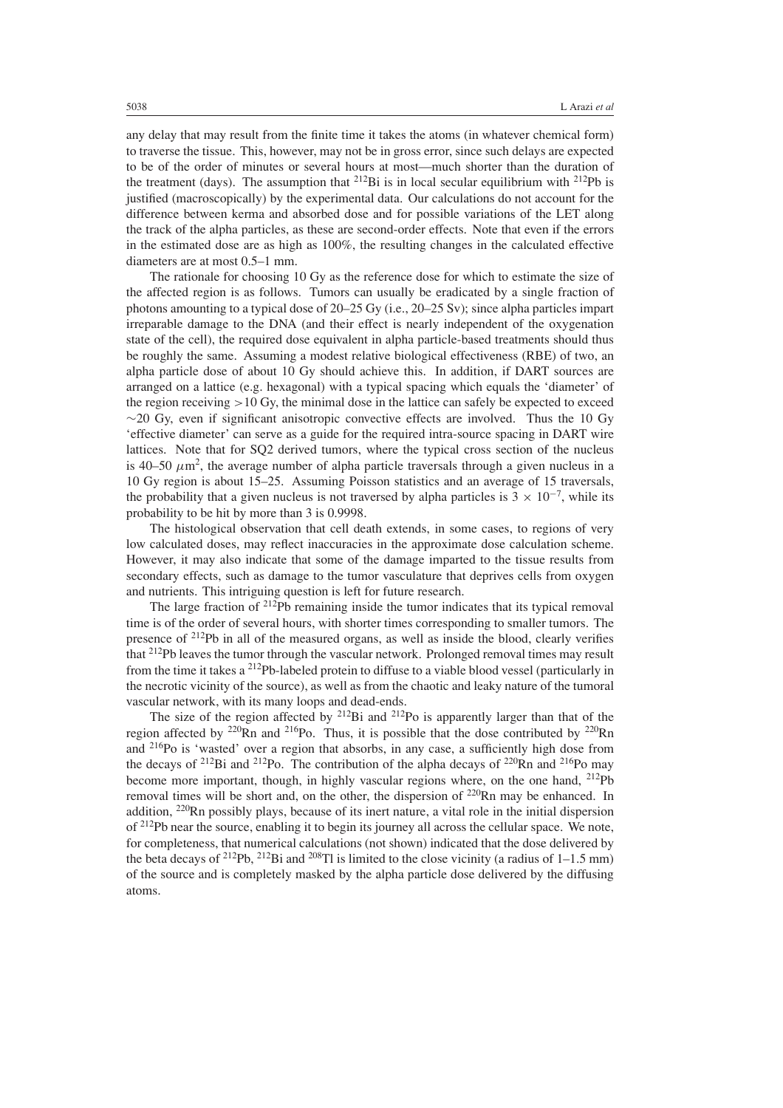any delay that may result from the finite time it takes the atoms (in whatever chemical form) to traverse the tissue. This, however, may not be in gross error, since such delays are expected to be of the order of minutes or several hours at most—much shorter than the duration of the treatment (days). The assumption that  $^{212}Bi$  is in local secular equilibrium with  $^{212}Pb$  is justified (macroscopically) by the experimental data. Our calculations do not account for the difference between kerma and absorbed dose and for possible variations of the LET along the track of the alpha particles, as these are second-order effects. Note that even if the errors in the estimated dose are as high as 100%, the resulting changes in the calculated effective diameters are at most 0.5–1 mm.

The rationale for choosing 10 Gy as the reference dose for which to estimate the size of the affected region is as follows. Tumors can usually be eradicated by a single fraction of photons amounting to a typical dose of 20–25 Gy (i.e., 20–25 Sv); since alpha particles impart irreparable damage to the DNA (and their effect is nearly independent of the oxygenation state of the cell), the required dose equivalent in alpha particle-based treatments should thus be roughly the same. Assuming a modest relative biological effectiveness (RBE) of two, an alpha particle dose of about 10 Gy should achieve this. In addition, if DART sources are arranged on a lattice (e.g. hexagonal) with a typical spacing which equals the 'diameter' of the region receiving *>*10 Gy, the minimal dose in the lattice can safely be expected to exceed  $\sim$ 20 Gy, even if significant anisotropic convective effects are involved. Thus the 10 Gy 'effective diameter' can serve as a guide for the required intra-source spacing in DART wire lattices. Note that for SQ2 derived tumors, where the typical cross section of the nucleus is 40–50  $\mu$ m<sup>2</sup>, the average number of alpha particle traversals through a given nucleus in a 10 Gy region is about 15–25. Assuming Poisson statistics and an average of 15 traversals, the probability that a given nucleus is not traversed by alpha particles is  $3 \times 10^{-7}$ , while its probability to be hit by more than 3 is 0.9998.

The histological observation that cell death extends, in some cases, to regions of very low calculated doses, may reflect inaccuracies in the approximate dose calculation scheme. However, it may also indicate that some of the damage imparted to the tissue results from secondary effects, such as damage to the tumor vasculature that deprives cells from oxygen and nutrients. This intriguing question is left for future research.

The large fraction of  $2^{12}Pb$  remaining inside the tumor indicates that its typical removal time is of the order of several hours, with shorter times corresponding to smaller tumors. The presence of  $2^{12}Pb$  in all of the measured organs, as well as inside the blood, clearly verifies that 212Pb leaves the tumor through the vascular network. Prolonged removal times may result from the time it takes a 212Pb-labeled protein to diffuse to a viable blood vessel (particularly in the necrotic vicinity of the source), as well as from the chaotic and leaky nature of the tumoral vascular network, with its many loops and dead-ends.

The size of the region affected by  $2^{12}$ Bi and  $2^{12}$ Po is apparently larger than that of the region affected by  $^{220}$ Rn and  $^{216}$ Po. Thus, it is possible that the dose contributed by  $^{220}$ Rn and 216Po is 'wasted' over a region that absorbs, in any case, a sufficiently high dose from the decays of <sup>212</sup>Bi and <sup>212</sup>Po. The contribution of the alpha decays of <sup>220</sup>Rn and <sup>216</sup>Po may become more important, though, in highly vascular regions where, on the one hand, <sup>212</sup>Pb removal times will be short and, on the other, the dispersion of <sup>220</sup>Rn may be enhanced. In addition, 220Rn possibly plays, because of its inert nature, a vital role in the initial dispersion of <sup>212</sup>Pb near the source, enabling it to begin its journey all across the cellular space. We note, for completeness, that numerical calculations (not shown) indicated that the dose delivered by the beta decays of <sup>212</sup>Pb, <sup>212</sup>Bi and <sup>208</sup>Tl is limited to the close vicinity (a radius of 1–1.5 mm) of the source and is completely masked by the alpha particle dose delivered by the diffusing atoms.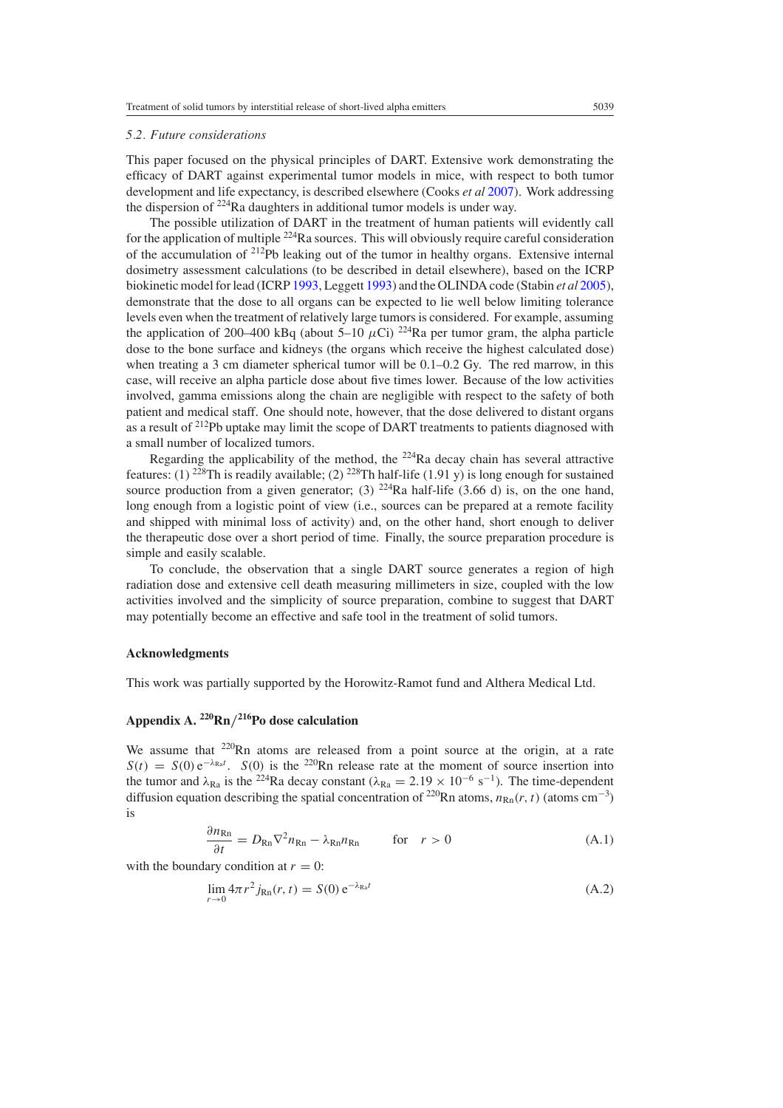#### <span id="page-15-0"></span>*5.2. Future considerations*

This paper focused on the physical principles of DART. Extensive work demonstrating the efficacy of DART against experimental tumor models in mice, with respect to both tumor development and life expectancy, is described elsewhere (Cooks *et al* [2007\)](#page-17-0). Work addressing the dispersion of  $224$ Ra daughters in additional tumor models is under way.

The possible utilization of DART in the treatment of human patients will evidently call for the application of multiple  $^{224}$ Ra sources. This will obviously require careful consideration of the accumulation of  $212Pb$  leaking out of the tumor in healthy organs. Extensive internal dosimetry assessment calculations (to be described in detail elsewhere), based on the ICRP biokinetic model for lead (ICRP [1993](#page-17-0), Leggett [1993](#page-17-0)) and the OLINDA code (Stabin *et al* [2005\)](#page-18-0), demonstrate that the dose to all organs can be expected to lie well below limiting tolerance levels even when the treatment of relatively large tumors is considered. For example, assuming the application of 200–400 kBq (about 5–10  $\mu$ Ci) <sup>224</sup>Ra per tumor gram, the alpha particle dose to the bone surface and kidneys (the organs which receive the highest calculated dose) when treating a 3 cm diameter spherical tumor will be 0.1–0.2 Gy. The red marrow, in this case, will receive an alpha particle dose about five times lower. Because of the low activities involved, gamma emissions along the chain are negligible with respect to the safety of both patient and medical staff. One should note, however, that the dose delivered to distant organs as a result of 212Pb uptake may limit the scope of DART treatments to patients diagnosed with a small number of localized tumors.

Regarding the applicability of the method, the  $^{224}$ Ra decay chain has several attractive features: (1)  $2^{28}$ Th is readily available; (2)  $2^{28}$ Th half-life (1.91 y) is long enough for sustained source production from a given generator; (3)  $^{224}$ Ra half-life (3.66 d) is, on the one hand, long enough from a logistic point of view (i.e., sources can be prepared at a remote facility and shipped with minimal loss of activity) and, on the other hand, short enough to deliver the therapeutic dose over a short period of time. Finally, the source preparation procedure is simple and easily scalable.

To conclude, the observation that a single DART source generates a region of high radiation dose and extensive cell death measuring millimeters in size, coupled with the low activities involved and the simplicity of source preparation, combine to suggest that DART may potentially become an effective and safe tool in the treatment of solid tumors.

#### **Acknowledgments**

This work was partially supported by the Horowitz-Ramot fund and Althera Medical Ltd.

# **Appendix A. 220Rn***/***216Po dose calculation**

We assume that <sup>220</sup>Rn atoms are released from a point source at the origin, at a rate  $S(t) = S(0) e^{-\lambda_{\text{Ra}}t}$ .  $S(0)$  is the <sup>220</sup>Rn release rate at the moment of source insertion into the tumor and  $\lambda_{\text{Ra}}$  is the <sup>224</sup>Ra decay constant ( $\lambda_{\text{Ra}} = 2.19 \times 10^{-6} \text{ s}^{-1}$ ). The time-dependent diffusion equation describing the spatial concentration of <sup>220</sup>Rn atoms,  $n_{\text{Rn}}(r, t)$  (atoms cm<sup>-3</sup>) is

$$
\frac{\partial n_{\text{Rn}}}{\partial t} = D_{\text{Rn}} \nabla^2 n_{\text{Rn}} - \lambda_{\text{Rn}} n_{\text{Rn}} \qquad \text{for} \quad r > 0 \tag{A.1}
$$

with the boundary condition at  $r = 0$ :

$$
\lim_{r \to 0} 4\pi r^2 j_{\text{Rn}}(r, t) = S(0) e^{-\lambda_{\text{Ra}}t}
$$
\n(A.2)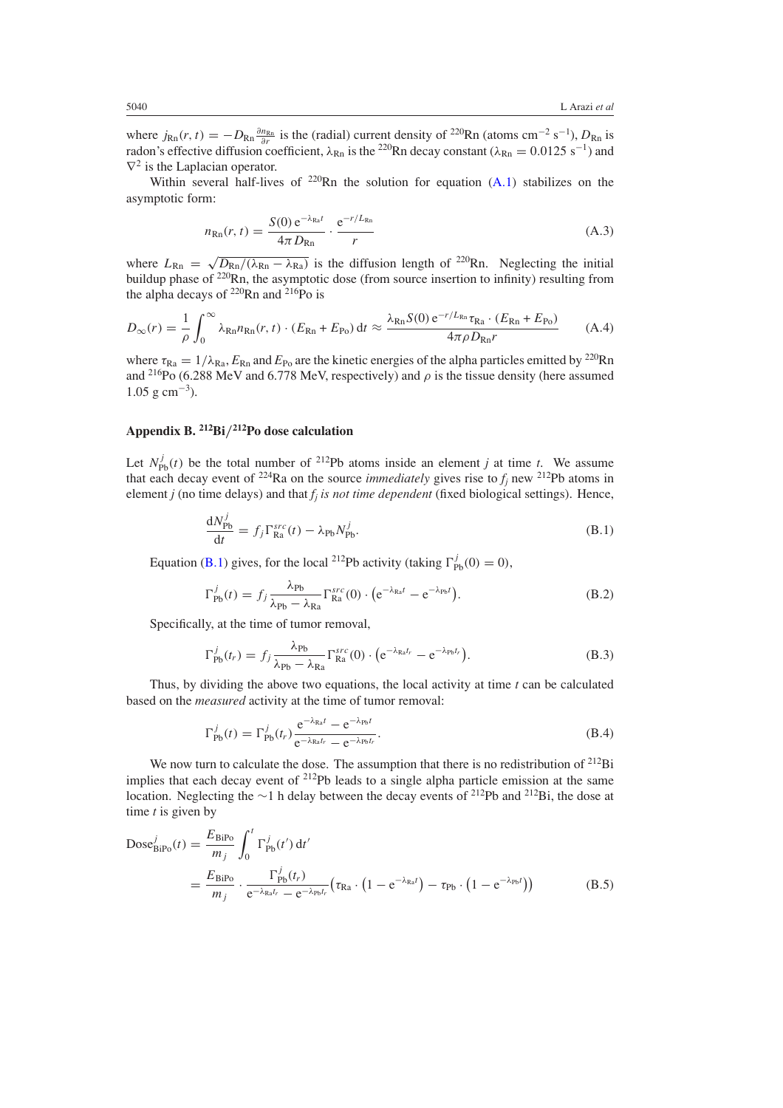where  $j_{\text{Rn}}(r, t) = -D_{\text{Rn}} \frac{\partial n_{\text{Rn}}}{\partial r}$  is the (radial) current density of <sup>220</sup>Rn (atoms cm<sup>-2</sup> s<sup>-1</sup>),  $D_{\text{Rn}}$  is radon's effective diffusion coefficient,  $\lambda_{\text{Rn}}$  is the <sup>220</sup>Rn decay constant ( $\lambda_{\text{Rn}} = 0.0125 \text{ s}^{-1}$ ) and  $\nabla^2$  is the Laplacian operator.

Within several half-lives of  $220$ Rn the solution for equation  $(A,1)$  $(A,1)$  stabilizes on the asymptotic form:

$$
n_{\rm Rn}(r,t) = \frac{S(0) e^{-\lambda_{\rm Ra}t}}{4\pi D_{\rm Rn}} \cdot \frac{e^{-r/L_{\rm Rn}}}{r}
$$
(A.3)

where  $L_{\text{Rn}} = \sqrt{D_{\text{Rn}}/(\lambda_{\text{Rn}} - \lambda_{\text{Ra}})}$  is the diffusion length of <sup>220</sup>Rn. Neglecting the initial buildup phase of <sup>220</sup>Rn, the asymptotic dose (from source insertion to infinity) resulting from the alpha decays of  $^{220}$ Rn and  $^{216}$ Po is

$$
D_{\infty}(r) = \frac{1}{\rho} \int_0^{\infty} \lambda_{\text{Rn}} n_{\text{Rn}}(r, t) \cdot (E_{\text{Rn}} + E_{\text{Po}}) dt \approx \frac{\lambda_{\text{Rn}} S(0) e^{-r/L_{\text{Rn}} r_{\text{Ra}} \cdot (E_{\text{Rn}} + E_{\text{Po}})}{4\pi \rho D_{\text{Rn}} r}
$$
(A.4)

where  $\tau_{Ra} = 1/\lambda_{Ra}$ ,  $E_{Rn}$  and  $E_{Po}$  are the kinetic energies of the alpha particles emitted by <sup>220</sup>Rn and <sup>216</sup>Po (6.288 MeV and 6.778 MeV, respectively) and  $\rho$  is the tissue density (here assumed  $1.05$  g cm<sup>-3</sup>).

# **Appendix B. 212Bi***/***212Po dose calculation**

Let  $N_{\text{Pb}}^{j}(t)$  be the total number of <sup>212</sup>Pb atoms inside an element *j* at time *t*. We assume that each decay event of <sup>224</sup>Ra on the source *immediately* gives rise to  $f_j$  new <sup>212</sup>Pb atoms in element *j* (no time delays) and that *fj is not time dependent* (fixed biological settings). Hence,

$$
\frac{\mathrm{d}N_{\mathrm{Pb}}^j}{\mathrm{d}t} = f_j \Gamma_{\mathrm{Ra}}^{src}(t) - \lambda_{\mathrm{Pb}} N_{\mathrm{Pb}}^j.
$$
\n(B.1)

Equation (B.1) gives, for the local <sup>212</sup>Pb activity (taking  $\Gamma_{\text{Pb}}^{j}(0) = 0$ ),

$$
\Gamma_{\rm Pb}^j(t) = f_j \frac{\lambda_{\rm Pb}}{\lambda_{\rm Pb} - \lambda_{\rm Ra}} \Gamma_{\rm Ra}^{src}(0) \cdot \left( e^{-\lambda_{\rm Ra}t} - e^{-\lambda_{\rm Pb}t} \right). \tag{B.2}
$$

Specifically, at the time of tumor removal,

$$
\Gamma_{\rm Pb}^j(t_r) = f_j \frac{\lambda_{\rm Pb}}{\lambda_{\rm Pb} - \lambda_{\rm Ra}} \Gamma_{\rm Ra}^{src}(0) \cdot \left( e^{-\lambda_{\rm Ra} t_r} - e^{-\lambda_{\rm Pb} t_r} \right). \tag{B.3}
$$

Thus, by dividing the above two equations, the local activity at time *t* can be calculated based on the *measured* activity at the time of tumor removal:

$$
\Gamma_{\rm Pb}^j(t) = \Gamma_{\rm Pb}^j(t_r) \frac{e^{-\lambda_{\rm Ra}t} - e^{-\lambda_{\rm Pb}t}}{e^{-\lambda_{\rm Ra}t_r} - e^{-\lambda_{\rm Pb}t_r}}.
$$
\n(B.4)

We now turn to calculate the dose. The assumption that there is no redistribution of  $^{212}Bi$ implies that each decay event of 212Pb leads to a single alpha particle emission at the same location. Neglecting the <sup>∼</sup>1 h delay between the decay events of 212Pb and 212Bi, the dose at time *t* is given by

$$
Dose_{\text{BiPo}}^{j}(t) = \frac{E_{\text{BiPo}}}{m_j} \int_0^t \Gamma_{\text{Pb}}^{j}(t') dt'
$$
  
= 
$$
\frac{E_{\text{BiPo}}}{m_j} \cdot \frac{\Gamma_{\text{Pb}}^{j}(t_r)}{e^{-\lambda_{\text{Ra}}t_r} - e^{-\lambda_{\text{Pb}}t_r}} (\tau_{\text{Ra}} \cdot (1 - e^{-\lambda_{\text{Ra}}t}) - \tau_{\text{Pb}} \cdot (1 - e^{-\lambda_{\text{Pb}}t}))
$$
(B.5)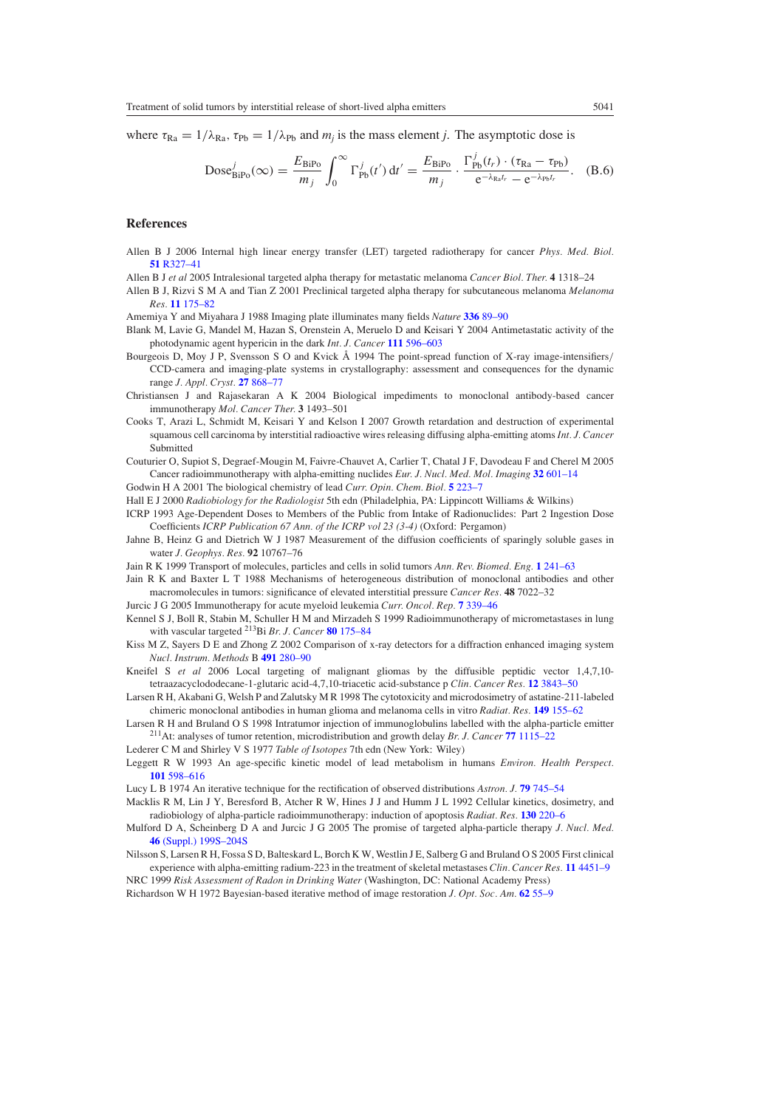<span id="page-17-0"></span>where  $\tau_{\text{Ra}} = 1/\lambda_{\text{Ra}}$ ,  $\tau_{\text{Pb}} = 1/\lambda_{\text{Pb}}$  and  $m_j$  is the mass element *j*. The asymptotic dose is

$$
Dose_{\text{BiPo}}^j(\infty) = \frac{E_{\text{BiPo}}}{m_j} \int_0^\infty \Gamma_{\text{Pb}}^j(t') dt' = \frac{E_{\text{BiPo}}}{m_j} \cdot \frac{\Gamma_{\text{Pb}}^j(t_r) \cdot (\tau_{\text{Ra}} - \tau_{\text{Pb}})}{e^{-\lambda_{\text{Ra}}t_r} - e^{-\lambda_{\text{Pb}}t_r}}. \quad (B.6)
$$

#### **References**

- Allen B J 2006 Internal high linear energy transfer (LET) targeted radiotherapy for cancer *Phys. Med. Biol.* **51** [R327–41](http://dx.doi.org/10.1088/0031-9155/51/13/R19)
- Allen B J *et al* 2005 Intralesional targeted alpha therapy for metastatic melanoma *Cancer Biol. Ther.* **4** 1318–24
- Allen B J, Rizvi S M A and Tian Z 2001 Preclinical targeted alpha therapy for subcutaneous melanoma *Melanoma Res.* **11** [175–82](http://dx.doi.org/10.1097/00008390-200104000-00013)

Amemiya Y and Miyahara J 1988 Imaging plate illuminates many fields *Nature* **336** [89–90](http://dx.doi.org/10.1038/336089a0)

- Blank M, Lavie G, Mandel M, Hazan S, Orenstein A, Meruelo D and Keisari Y 2004 Antimetastatic activity of the photodynamic agent hypericin in the dark *Int. J. Cancer* **111** [596–603](http://dx.doi.org/10.1002/ijc.20285)
- Bourgeois D, Moy J P, Svensson S O and Kvick Å 1994 The point-spread function of X-ray image-intensifiers/ CCD-camera and imaging-plate systems in crystallography: assessment and consequences for the dynamic range *J. Appl. Cryst.* **27** [868–77](http://dx.doi.org/10.1107/S0021889894004048)
- Christiansen J and Rajasekaran A K 2004 Biological impediments to monoclonal antibody-based cancer immunotherapy *Mol. Cancer Ther.* **3** 1493–501
- Cooks T, Arazi L, Schmidt M, Keisari Y and Kelson I 2007 Growth retardation and destruction of experimental squamous cell carcinoma by interstitial radioactive wires releasing diffusing alpha-emitting atoms *Int. J. Cancer* Submitted
- Couturier O, Supiot S, Degraef-Mougin M, Faivre-Chauvet A, Carlier T, Chatal J F, Davodeau F and Cherel M 2005 Cancer radioimmunotherapy with alpha-emitting nuclides *Eur. J. Nucl. Med. Mol. Imaging* **32** [601–14](http://dx.doi.org/10.1007/s00259-005-1803-2)

Godwin H A 2001 The biological chemistry of lead *Curr. Opin. Chem. Biol.* **5** [223–7](http://dx.doi.org/10.1016/S1367-5931(00)00194-0)

- Hall E J 2000 *Radiobiology for the Radiologist* 5th edn (Philadelphia, PA: Lippincott Williams & Wilkins)
- ICRP 1993 Age-Dependent Doses to Members of the Public from Intake of Radionuclides: Part 2 Ingestion Dose Coefficients *ICRP Publication 67 Ann. of the ICRP vol 23 (3-4)* (Oxford: Pergamon)
- Jahne B, Heinz G and Dietrich W J 1987 Measurement of the diffusion coefficients of sparingly soluble gases in water *J. Geophys. Res.* **92** 10767–76
- Jain R K 1999 Transport of molecules, particles and cells in solid tumors *Ann. Rev. Biomed. Eng.* **1** [241–63](http://dx.doi.org/10.1146/annurev.bioeng.1.1.241)

Jain R K and Baxter L T 1988 Mechanisms of heterogeneous distribution of monoclonal antibodies and other macromolecules in tumors: significance of elevated interstitial pressure *Cancer Res.* **48** 7022–32

Jurcic J G 2005 Immunotherapy for acute myeloid leukemia *Curr. Oncol. Rep.* **7** [339–46](http://dx.doi.org/10.1007/s11912-005-0060-7)

- Kennel S J, Boll R, Stabin M, Schuller H M and Mirzadeh S 1999 Radioimmunotherapy of micrometastases in lung with vascular targeted 213Bi *Br. J. Cancer* **80** [175–84](http://dx.doi.org/10.1038/sj.bjc.6690337)
- Kiss M Z, Sayers D E and Zhong Z 2002 Comparison of x-ray detectors for a diffraction enhanced imaging system *Nucl. Instrum. Methods* B **491** [280–90](http://dx.doi.org/10.1016/S0168-9002(02)01125-7)
- Kneifel S *et al* 2006 Local targeting of malignant gliomas by the diffusible peptidic vector 1,4,7,10 tetraazacyclododecane-1-glutaric acid-4,7,10-triacetic acid-substance p *Clin. Cancer Res.* **12** [3843–50](http://dx.doi.org/10.1158/1078-0432.CCR-05-2820)
- Larsen R H, Akabani G, Welsh P and Zalutsky M R 1998 The cytotoxicity and microdosimetry of astatine-211-labeled chimeric monoclonal antibodies in human glioma and melanoma cells in vitro *Radiat. Res.* **149** [155–62](http://dx.doi.org/10.2307/3579925)
- Larsen R H and Bruland O S 1998 Intratumor injection of immunoglobulins labelled with the alpha-particle emitter 211At: analyses of tumor retention, microdistribution and growth delay *Br. J. Cancer* **77** [1115–22](http://dx.doi.org/10.1016/S0168-9002(02)01125-7)
- Lederer C M and Shirley V S 1977 *Table of Isotopes* 7th edn (New York: Wiley)
- Leggett R W 1993 An age-specific kinetic model of lead metabolism in humans *Environ. Health Perspect.* **101** [598–616](http://dx.doi.org/10.2307/3431645)
- Lucy L B 1974 An iterative technique for the rectification of observed distributions *Astron. J.* **79** [745–54](http://dx.doi.org/10.1086/111605)
- Macklis R M, Lin J Y, Beresford B, Atcher R W, Hines J J and Humm J L 1992 Cellular kinetics, dosimetry, and radiobiology of alpha-particle radioimmunotherapy: induction of apoptosis *Radiat. Res.* **130** [220–6](http://dx.doi.org/10.2307/3578279)
- Mulford D A, Scheinberg D A and Jurcic J G 2005 The promise of targeted alpha-particle therapy *J. Nucl. Med.* **46** [\(Suppl.\) 199S–204S](http://dx.doi.org/10.1016/S0168-9002(02)01125-7)
- Nilsson S, Larsen R H, Fossa S D, Balteskard L, Borch K W, Westlin J E, Salberg G and Bruland O S 2005 First clinical experience with alpha-emitting radium-223 in the treatment of skeletal metastases *Clin. Cancer Res.* **11** [4451–9](http://dx.doi.org/10.1158/1078-0432.CCR-04-2244)

NRC 1999 *Risk Assessment of Radon in Drinking Water* (Washington, DC: National Academy Press)

Richardson W H 1972 Bayesian-based iterative method of image restoration *J. Opt. Soc. Am.* **62** [55–9](http://dx.doi.org/10.1016/S0168-9002(02)01125-7)